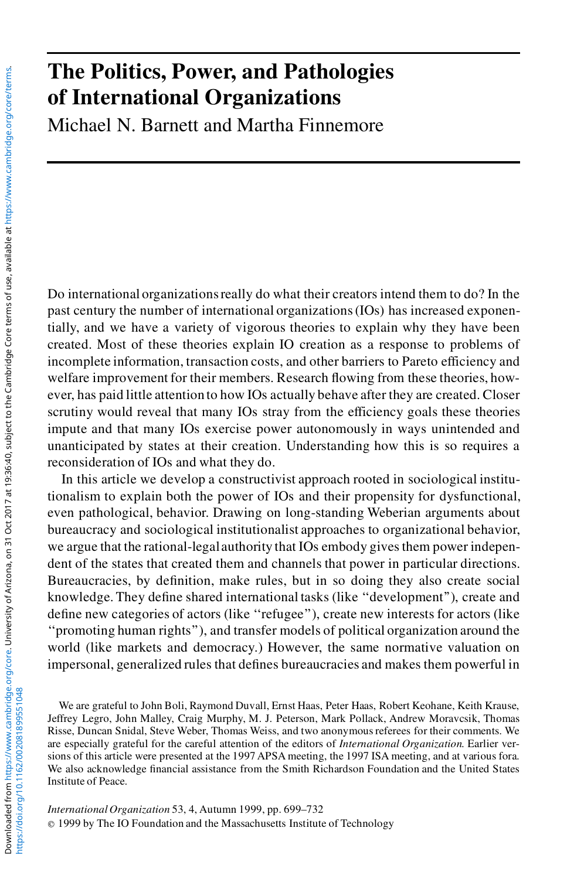# **The Politics, Power, and Pathologies of International Organizations**

Michael N. Barnett and Martha Finnemore

Do international organizationsreally do what their creators intend them to do? In the past century the number of international organizations(IOs) has increased exponentially, and we have a variety of vigorous theories to explain why they have been created. Most of these theories explain IO creation as a response to problems of incomplete information, transaction costs, and other barriers to Pareto efficiency and welfare improvement for their members. Research flowing from these theories, however, has paid little attention to how IOs actually behave after they are created. Closer scrutiny would reveal that many IOs stray from the efficiency goals these theories impute and that many IOs exercise power autonomously in ways unintended and unanticipated by states at their creation. Understanding how this is so requires a reconsideration of IOs and what they do.

In this article we develop a constructivist approach rooted in sociological institutionalism to explain both the power of IOs and their propensity for dysfunctional, even pathological, behavior. Drawing on long-standing Weberian arguments about bureaucracy and sociological institutionalist approaches to organizational behavior, we argue that the rational-legalauthority that IOs embody givesthem power independent of the states that created them and channels that power in particular directions. Bureaucracies, by definition, make rules, but in so doing they also create social knowledge. They define shared international tasks (like "development"), create and define new categories of actors (like "refugee"), create new interests for actors (like ''promoting human rights''), and transfer models of political organization around the world (like markets and democracy.) However, the same normative valuation on impersonal, generalized rules that defines bureaucracies and makes them powerful in

We are grateful to John Boli, Raymond Duvall, Ernst Haas, Peter Haas, Robert Keohane, Keith Krause, Jeffrey Legro, John Malley, Craig Murphy, M. J. Peterson, Mark Pollack, Andrew Moravcsik, Thomas Risse, Duncan Snidal, Steve Weber, Thomas Weiss, and two anonymousreferees for their comments. We are especially grateful for the careful attention of the editors of *International Organization*. Earlier ver sions of this article were presented at the 1997 APSA meeting, the 1997 ISA meeting, and at various fora. We also acknowledge financial assistance from the Smith Richardson Foundation and the United States Institute of Peace.

*International Organization* 53, 4, Autumn 1999, pp. 699–732  $\circ$  1999 by The IO Foundation and the Massachusetts Institute of Technology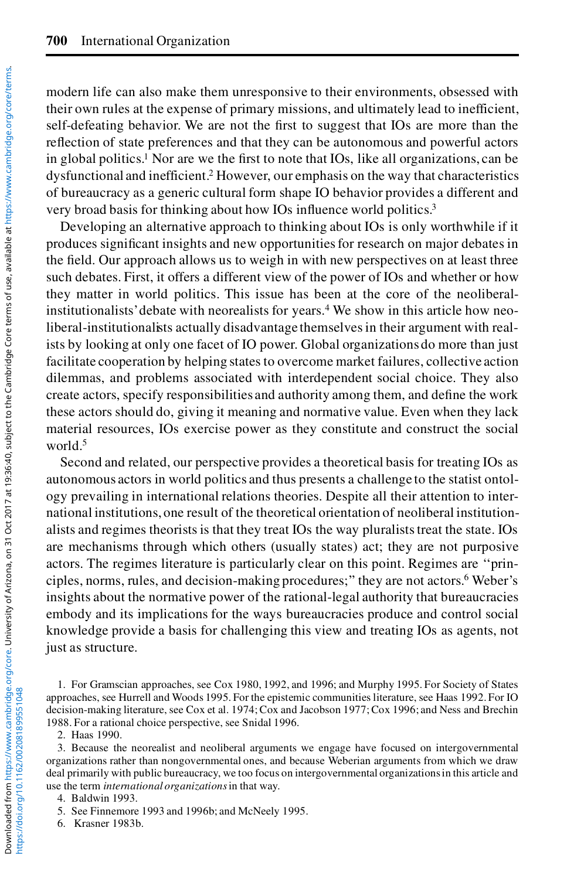modern life can also make them unresponsive to their environments, obsessed with their own rules at the expense of primary missions, and ultimately lead to inefficient, self-defeating behavior. We are not the first to suggest that IOs are more than the reflection of state preferences and that they can be autonomous and powerful actors in global politics.<sup>1</sup> Nor are we the first to note that  $IOS$ , like all organizations, can be dysfunctional and inefficient.<sup>2</sup> However, our emphasis on the way that characteristics of bureaucracy as a generic cultural form shape IO behavior provides a different and very broad basis for thinking about how IOs influence world politics.<sup>3</sup>

Developing an alternative approach to thinking about IOs is only worthwhile if it produces significant insights and new opportunities for research on major debates in the field. Our approach allows us to weigh in with new perspectives on at least three such debates. First, it offers a different view of the power of IOs and whether or how they matter in world politics. This issue has been at the core of the neoliberalinstitutionalists' debate with neorealists for years.<sup>4</sup> We show in this article how neoliberal-institutionalists actually disadvantage themselvesin their argument with realists by looking at only one facet of IO power. Global organizations do more than just facilitate cooperation by helping states to overcome market failures, collective action dilemmas, and problems associated with interdependent social choice. They also create actors, specify responsibilities and authority among them, and define the work these actors should do, giving it meaning and normative value. Even when they lack material resources, IOs exercise power as they constitute and construct the social world.<sup>5</sup>

Second and related, our perspective provides a theoretical basis for treating IOs as autonomous actors in world politics and thus presents a challenge to the statist ontology prevailing in international relations theories. Despite all their attention to international institutions, one result of the theoretical orientation of neoliberal institutionalists and regimes theorists is that they treat IOs the way pluraliststreat the state. IOs are mechanisms through which others (usually states) act; they are not purposive actors. The regimes literature is particularly clear on this point. Regimes are ''principles, norms, rules, and decision-making procedures;" they are not actors.<sup>6</sup> Weber's insights about the normative power of the rational-legal authority that bureaucracies embody and its implications for the ways bureaucracies produce and control social knowledge provide a basis for challenging this view and treating IOs as agents, not just as structure.

1. For Gramscian approaches, see Cox 1980, 1992, and 1996; and Murphy 1995. For Society of States approaches, see Hurrell and Woods 1995. For the epistemic communities literature, see Haas 1992. For IO decision-making literature, see Cox et al. 1974;Cox and Jacobson 1977;Cox 1996; and Ness and Brechin 1988. For a rational choice perspective, see Snidal 1996.

2. Haas 1990.

3. Because the neorealist and neoliberal arguments we engage have focused on intergovernmental organizations rather than nongovernmental ones, and because Weberian arguments from which we draw deal primarily with public bureaucracy, we too focus on intergovernmental organizationsin this article and use the term *international organizations*in that way.

4. Baldwin 1993.

6. Krasner 1983b.

<sup>5.</sup> See Finnemore 1993 and 1996b; and McNeely 1995.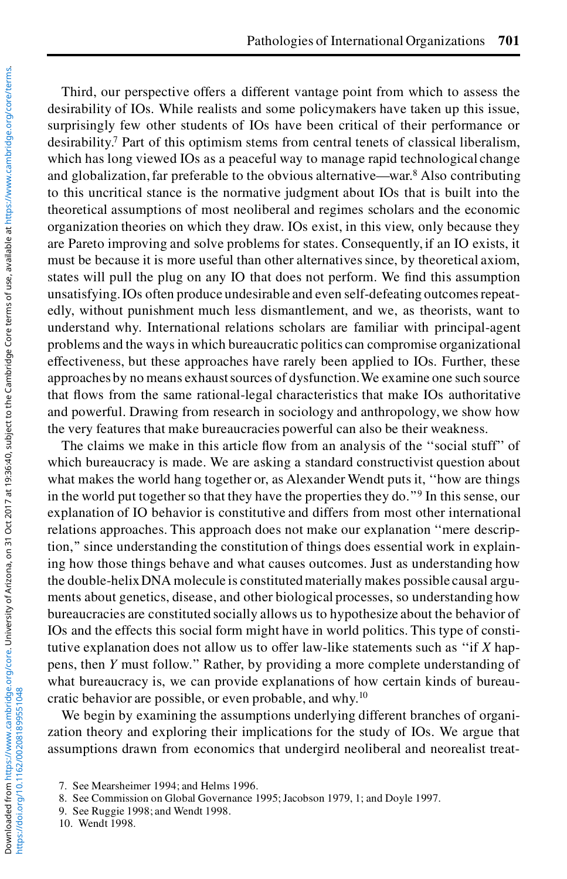Third, our perspective offers a different vantage point from which to assess the desirability of IOs. While realists and some policymakers have taken up this issue, surprisingly few other students of IOs have been critical of their performance or  $\gamma$  desirability.<sup>7</sup> Part of this optimism stems from central tenets of classical liberalism, which has long viewed IOs as a peaceful way to manage rapid technological change and globalization,far preferable to the obvious alternative—war.<sup>8</sup> Also contributing to this uncritical stance is the normative judgment about IOs that is built into the theoretical assumptions of most neoliberal and regimes scholars and the economic organization theories on which they draw. IOs exist, in this view, only because they are Pareto improving and solve problems for states. Consequently, if an IO exists, it must be because it is more useful than other alternativessince, by theoretical axiom, states will pull the plug on any IO that does not perform. We find this assumption unsatisfying.IOs often produce undesirable and even self-defeating outcomesrepeatedly, without punishment much less dismantlement, and we, as theorists, want to understand why. International relations scholars are familiar with principal-agent problems and the waysin which bureaucratic politics can compromise organizational effectiveness, but these approaches have rarely been applied to IOs. Further, these approaches by no means exhaustsources of dysfunction.We examine one such source that flows from the same rational-legal characteristics that make IOs authoritative and powerful. Drawing from research in sociology and anthropology, we show how the very features that make bureaucracies powerful can also be their weakness.

The claims we make in this article flow from an analysis of the "social stuff" of which bureaucracy is made. We are asking a standard constructivist question about what makes the world hang together or, as Alexander Wendt puts it, ''how are things in the world put together so that they have the properties they do."<sup>9</sup> In this sense, our explanation of IO behavior is constitutive and differs from most other international relations approaches. This approach does not make our explanation ''mere description,'' since understanding the constitution of things does essential work in explaining how those things behave and what causes outcomes. Just as understanding how the double-helixDNA molecule is constitutedmaterially makes possible causal arguments about genetics, disease, and other biological processes, so understanding how bureaucracies are constituted socially allows us to hypothesize about the behavior of IOs and the effects this social form might have in world politics. This type of constitutive explanation does not allow us to offer law-like statements such as ''if *X* happens, then *Y* must follow.'' Rather, by providing a more complete understanding of what bureaucracy is, we can provide explanations of how certain kinds of bureaucratic behavior are possible, or even probable, and why.<sup>10</sup>

We begin by examining the assumptions underlying different branches of organization theory and exploring their implications for the study of IOs. We argue that assumptions drawn from economics that undergird neoliberal and neorealist treat-

<sup>7.</sup> See Mearsheimer 1994; and Helms 1996.

<sup>8.</sup> See Commission on Global Governance 1995;Jacobson 1979, 1; and Doyle 1997.

<sup>9.</sup> See Ruggie 1998; and Wendt 1998.

<sup>10.</sup> Wendt 1998.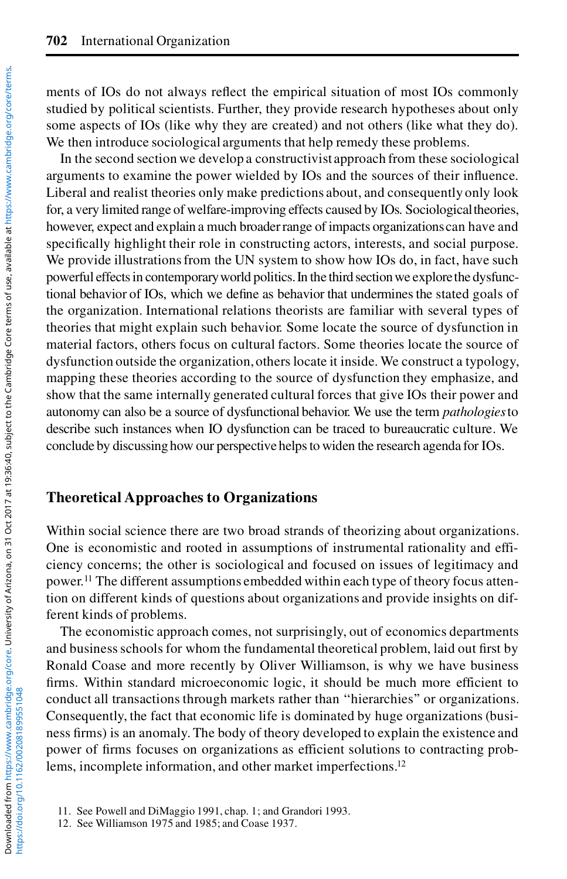ments of IOs do not always reflect the empirical situation of most IOs commonly studied by political scientists. Further, they provide research hypotheses about only some aspects of IOs (like why they are created) and not others (like what they do). We then introduce sociological arguments that help remedy these problems.

In the second section we develop a constructivist approach from these sociological arguments to examine the power wielded by IOs and the sources of their influence. Liberal and realist theories only make predictions about, and consequently only look for, a very limited range of welfare-improving effects caused by IOs. Sociologicaltheories, however, expect and explain a much broader range of impacts organizations can have and specifically highlight their role in constructing actors, interests, and social purpose. We provide illustrations from the UN system to show how IOs do, in fact, have such powerful effectsin contemporaryworld politics.In the third sectionwe explorethe dysfunctional behavior of IOs, which we define as behavior that undermines the stated goals of the organization. International relations theorists are familiar with several types of theories that might explain such behavior. Some locate the source of dysfunction in material factors, others focus on cultural factors. Some theories locate the source of dysfunction outside the organization,otherslocate it inside. We construct a typology, mapping these theories according to the source of dysfunction they emphasize, and show that the same internally generated cultural forces that give IOs their power and autonomy can also be a source of dysfunctional behavior. We use the term *pathologies*to describe such instances when IO dysfunction can be traced to bureaucratic culture. We conclude by discussinghow our perspective helpsto widen the research agenda for IOs.

## **Theoretical Approaches to Organizations**

Within social science there are two broad strands of theorizing about organizations. One is economistic and rooted in assumptions of instrumental rationality and efficiency concerns; the other is sociological and focused on issues of legitimacy and power.<sup>11</sup> The different assumptions embedded within each type of theory focus attention on different kinds of questions about organizations and provide insights on different kinds of problems.

The economistic approach comes, not surprisingly, out of economics departments and business schools for whom the fundamental theoretical problem, laid out first by Ronald Coase and more recently by Oliver Williamson, is why we have business firms. Within standard microeconomic logic, it should be much more efficient to conduct all transactions through markets rather than ''hierarchies'' or organizations. Consequently, the fact that economic life is dominated by huge organizations (business firms) is an anomaly. The body of theory developed to explain the existence and power of firms focuses on organizations as efficient solutions to contracting problems, incomplete information, and other market imperfections.<sup>12</sup>

<sup>11.</sup> See Powell and DiMaggio 1991, chap. 1; and Grandori 1993.

<sup>12.</sup> See Williamson 1975 and 1985; and Coase 1937.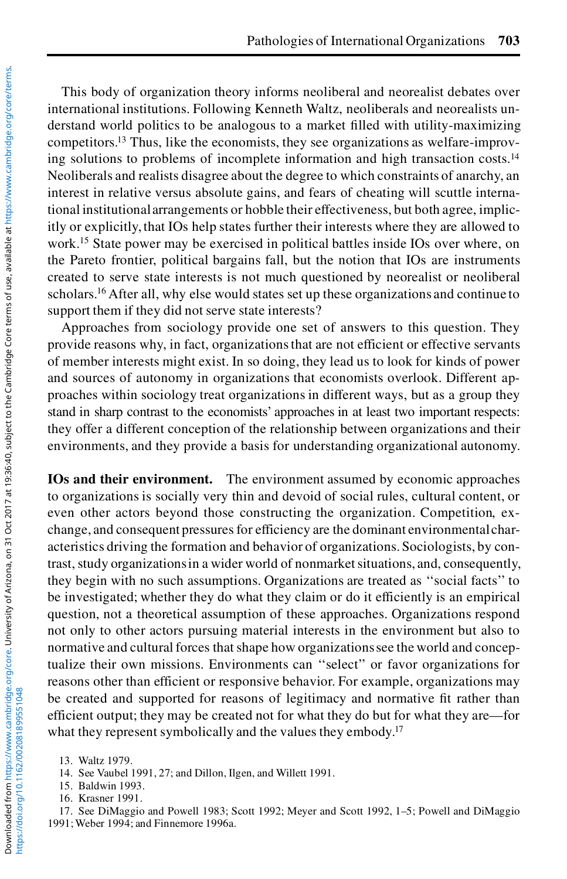This body of organization theory informs neoliberal and neorealist debates over international institutions. Following Kenneth Waltz, neoliberals and neorealists understand world politics to be analogous to a market filled with utility-maximizing competitors.<sup>13</sup> Thus, like the economists, they see organizations as welfare-improving solutions to problems of incomplete information and high transaction costs.<sup>14</sup> Neoliberals and realists disagree about the degree to which constraints of anarchy, an interest in relative versus absolute gains, and fears of cheating will scuttle international institutionalarrangements or hobble their effectiveness, but both agree, implicitly or explicitly, that IOs help states further their interests where they are allowed to work.<sup>15</sup> State power may be exercised in political battles inside IOs over where, on the Pareto frontier, political bargains fall, but the notion that IOs are instruments created to serve state interests is not much questioned by neorealist or neoliberal scholars.<sup>16</sup> After all, why else would states set up these organizations and continue to support them if they did not serve state interests?

Approaches from sociology provide one set of answers to this question. They provide reasons why, in fact, organizationsthat are not efficient or effective servants of member interests might exist. In so doing, they lead us to look for kinds of power and sources of autonomy in organizations that economists overlook. Different approaches within sociology treat organizations in different ways, but as a group they stand in sharp contrast to the economists' approaches in at least two important respects: they offer a different conception of the relationship between organizations and their environments, and they provide a basis for understanding organizational autonomy.

**IOs and their environment.** The environment assumed by economic approaches to organizations is socially very thin and devoid of social rules, cultural content, or even other actors beyond those constructing the organization. Competition, exchange, and consequent pressuresfor efficiency are the dominant environmentalcharacteristics driving the formation and behavior of organizations. Sociologists, by contrast, study organizations in a wider world of nonmarket situations, and, consequently, they begin with no such assumptions. Organizations are treated as ''social facts'' to be investigated; whether they do what they claim or do it efficiently is an empirical question, not a theoretical assumption of these approaches. Organizations respond not only to other actors pursuing material interests in the environment but also to normative and cultural forces that shape how organizations see the world and conceptualize their own missions. Environments can ''select'' or favor organizations for reasons other than efficient or responsive behavior. For example, organizations may be created and supported for reasons of legitimacy and normative fit rather than efficient output; they may be created not for what they do but for what they are—for what they represent symbolically and the values they embody.<sup>17</sup>

- 14. See Vaubel 1991, 27; and Dillon, Ilgen, and Willett 1991.
- 15. Baldwin 1993.
- 16. Krasner 1991.

17. See DiMaggio and Powell 1983; Scott 1992; Meyer and Scott 1992, 1–5; Powell and DiMaggio 1991;Weber 1994; and Finnemore 1996a.

<sup>13.</sup> Waltz 1979.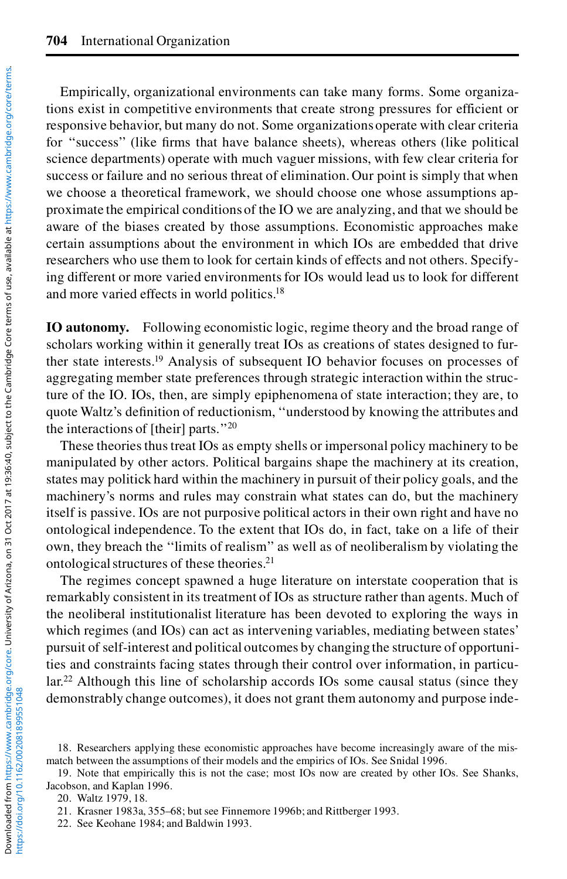Empirically, organizational environments can take many forms. Some organizations exist in competitive environments that create strong pressures for efficient or responsive behavior, but many do not. Some organizations operate with clear criteria for "success" (like firms that have balance sheets), whereas others (like political science departments) operate with much vaguer missions, with few clear criteria for success or failure and no serious threat of elimination. Our point is simply that when we choose a theoretical framework, we should choose one whose assumptions approximate the empirical conditions of the IO we are analyzing, and that we should be aware of the biases created by those assumptions. Economistic approaches make certain assumptions about the environment in which IOs are embedded that drive researchers who use them to look for certain kinds of effects and not others. Specifying different or more varied environments for IOs would lead us to look for different and more varied effects in world politics.<sup>18</sup>

**IO autonomy.** Following economistic logic, regime theory and the broad range of scholars working within it generally treat IOs as creations of states designed to further state interests.<sup>19</sup> Analysis of subsequent IO behavior focuses on processes of aggregating member state preferences through strategic interaction within the structure of the IO. IOs, then, are simply epiphenomena of state interaction; they are, to quote Waltz's definition of reductionism, "understood by knowing the attributes and the interactions of [their] parts.'' 20

These theories thus treat IOs as empty shells or impersonal policy machinery to be manipulated by other actors. Political bargains shape the machinery at its creation, states may politick hard within the machinery in pursuit of their policy goals, and the machinery's norms and rules may constrain what states can do, but the machinery itself is passive. IOs are not purposive political actors in their own right and have no ontological independence. To the extent that IOs do, in fact, take on a life of their own, they breach the ''limits of realism'' as well as of neoliberalism by violating the ontologicalstructures of these theories.<sup>21</sup>

The regimes concept spawned a huge literature on interstate cooperation that is remarkably consistent in its treatment of IOs as structure rather than agents. Much of the neoliberal institutionalist literature has been devoted to exploring the ways in which regimes (and IOs) can act as intervening variables, mediating between states' pursuit of self-interest and political outcomes by changing the structure of opportunities and constraints facing states through their control over information, in particular.<sup>22</sup> Although this line of scholarship accords IOs some causal status (since they demonstrably change outcomes), it does not grant them autonomy and purpose inde-

22. See Keohane 1984; and Baldwin 1993.

<sup>18.</sup> Researchers applying these economistic approaches have become increasingly aware of the mismatch between the assumptions of their models and the empirics of IOs. See Snidal 1996.

<sup>19.</sup> Note that empirically this is not the case; most IOs now are created by other IOs. See Shanks, Jacobson, and Kaplan 1996.

<sup>20.</sup> Waltz 1979, 18.

<sup>21.</sup> Krasner 1983a, 355–68; but see Finnemore 1996b; and Rittberger 1993.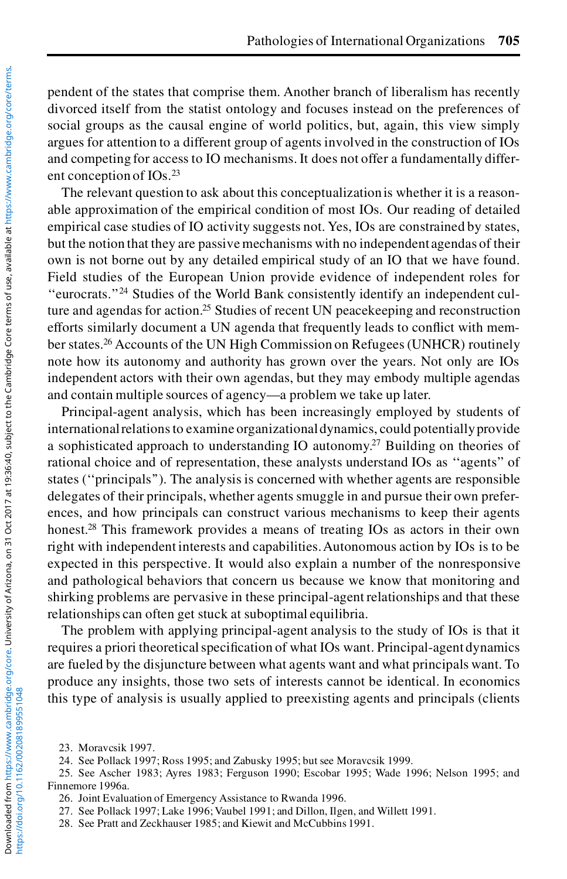pendent of the states that comprise them. Another branch of liberalism has recently divorced itself from the statist ontology and focuses instead on the preferences of social groups as the causal engine of world politics, but, again, this view simply argues for attention to a different group of agents involved in the construction of IOs and competing for access to IO mechanisms. It does not offer a fundamentally different conception of IOs.<sup>23</sup>

The relevant question to ask about this conceptualizationis whether it is a reasonable approximation of the empirical condition of most IOs. Our reading of detailed empirical case studies of IO activity suggests not. Yes, IOs are constrained by states, but the notion that they are passivemechanisms with no independent agendas of their own is not borne out by any detailed empirical study of an IO that we have found. Field studies of the European Union provide evidence of independent roles for "eurocrats."<sup>24</sup> Studies of the World Bank consistently identify an independent culture and agendas for action.<sup>25</sup> Studies of recent UN peacekeeping and reconstruction efforts similarly document a UN agenda that frequently leads to conflict with member states.<sup>26</sup> Accounts of the UN High Commission on Refugees (UNHCR) routinely note how its autonomy and authority has grown over the years. Not only are IOs independent actors with their own agendas, but they may embody multiple agendas and contain multiple sources of agency—a problem we take up later.

Principal-agent analysis, which has been increasingly employed by students of international relations to examine organizational dynamics, could potentially provide a sophisticated approach to understanding IO autonomy.<sup>27</sup> Building on theories of rational choice and of representation, these analysts understand IOs as ''agents'' of states (''principals''). The analysisis concerned with whether agents are responsible delegates of their principals, whether agents smuggle in and pursue their own preferences, and how principals can construct various mechanisms to keep their agents honest.<sup>28</sup> This framework provides a means of treating IOs as actors in their own right with independent interests and capabilities.Autonomous action by IOs is to be expected in this perspective. It would also explain a number of the nonresponsive and pathological behaviors that concern us because we know that monitoring and shirking problems are pervasive in these principal-agent relationships and that these relationships can often get stuck at suboptimal equilibria.

The problem with applying principal-agent analysis to the study of IOs is that it requires a priori theoretical specification of what IOs want. Principal-agent dynamics are fueled by the disjuncture between what agents want and what principals want. To produce any insights, those two sets of interests cannot be identical. In economics this type of analysis is usually applied to preexisting agents and principals (clients

28. See Pratt and Zeckhauser 1985; and Kiewit and McCubbins 1991.

<sup>23.</sup> Moravcsik 1997.

<sup>24.</sup> See Pollack 1997; Ross 1995; and Zabusky 1995; but see Moravcsik 1999.

<sup>25.</sup> See Ascher 1983; Ayres 1983; Ferguson 1990; Escobar 1995; Wade 1996; Nelson 1995; and Finnemore 1996a.

<sup>26.</sup> Joint Evaluation of Emergency Assistance to Rwanda 1996.

<sup>27.</sup> See Pollack 1997; Lake 1996; Vaubel 1991; and Dillon, Ilgen, and Willett 1991.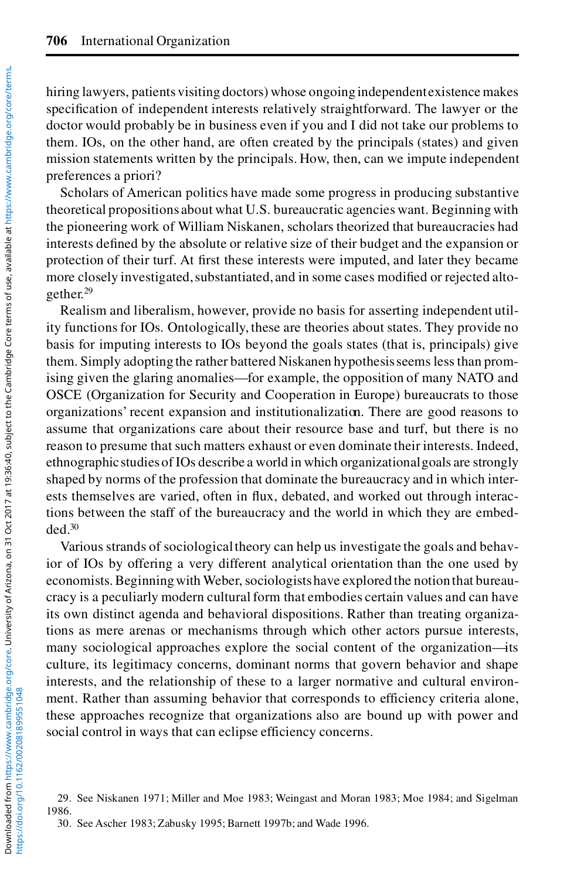hiring lawyers, patients visiting doctors) whose ongoing independentexistence makes specification of independent interests relatively straightforward. The lawyer or the doctor would probably be in business even if you and I did not take our problems to them. IOs, on the other hand, are often created by the principals (states) and given mission statements written by the principals. How, then, can we impute independent preferences a priori?

Scholars of American politics have made some progress in producing substantive theoretical propositions about what U.S. bureaucratic agencies want. Beginning with the pioneering work of William Niskanen, scholars theorized that bureaucracies had interests defined by the absolute or relative size of their budget and the expansion or protection of their turf. At first these interests were imputed, and later they became more closely investigated, substantiated, and in some cases modified or rejected altogether.<sup>29</sup>

Realism and liberalism, however, provide no basis for asserting independent utility functionsfor IOs. Ontologically, these are theories about states. They provide no basis for imputing interests to IOs beyond the goals states (that is, principals) give them. Simply adopting the rather battered Niskanen hypothesisseemslessthan promising given the glaring anomalies—for example, the opposition of many NATO and OSCE (Organization for Security and Cooperation in Europe) bureaucrats to those organizations'recent expansion and institutionalization. There are good reasons to assume that organizations care about their resource base and turf, but there is no reason to presume that such matters exhaust or even dominate their interests. Indeed, ethnographicstudies of IOs describe a world in which organizationalgoals are strongly shaped by norms of the profession that dominate the bureaucracy and in which interests themselves are varied, often in flux, debated, and worked out through interactions between the staff of the bureaucracy and the world in which they are embedded.<sup>30</sup>

Various strands of sociological theory can help us investigate the goals and behavior of IOs by offering a very different analytical orientation than the one used by economists. Beginning with Weber, sociologists have explored the notion that bureaucracy is a peculiarly modern cultural form that embodies certain values and can have its own distinct agenda and behavioral dispositions. Rather than treating organizations as mere arenas or mechanisms through which other actors pursue interests, many sociological approaches explore the social content of the organization—its culture, its legitimacy concerns, dominant norms that govern behavior and shape interests, and the relationship of these to a larger normative and cultural environment. Rather than assuming behavior that corresponds to efficiency criteria alone, these approaches recognize that organizations also are bound up with power and social control in ways that can eclipse efficiency concerns.

<sup>29.</sup> See Niskanen 1971; Miller and Moe 1983; Weingast and Moran 1983; Moe 1984; and Sigelman 1986.

<sup>30.</sup> See Ascher 1983; Zabusky 1995; Barnett 1997b; and Wade 1996.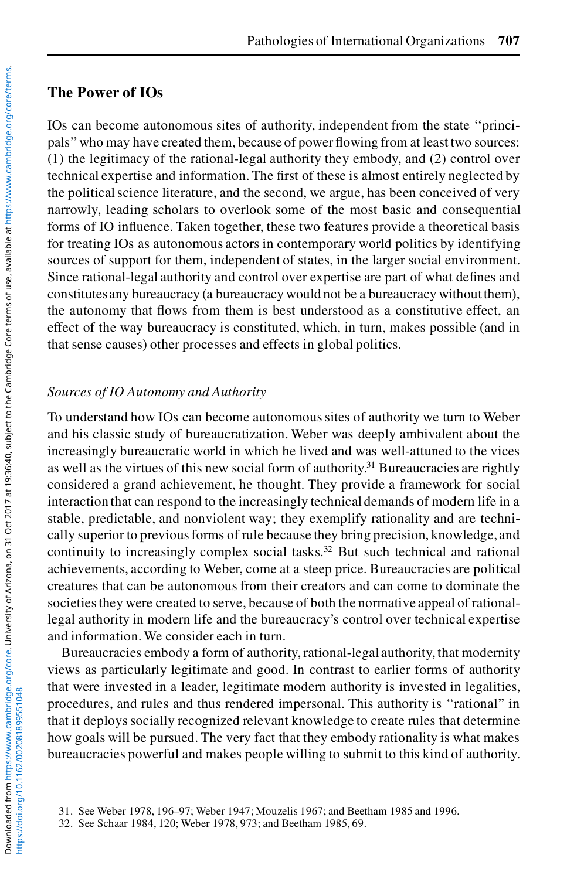# **The Power of IOs**

IOs can become autonomous sites of authority, independent from the state ''principals" who may have created them, because of power flowing from at least two sources: (1) the legitimacy of the rational-legal authority they embody, and (2) control over technical expertise and information. The first of these is almost entirely neglected by the political science literature, and the second, we argue, has been conceived of very narrowly, leading scholars to overlook some of the most basic and consequential forms of IO influence. Taken together, these two features provide a theoretical basis for treating IOs as autonomous actors in contemporary world politics by identifying sources of support for them, independent of states, in the larger social environment. Since rational-legal authority and control over expertise are part of what defines and constitutesany bureaucracy (a bureaucracy would not be a bureaucracy without them), the autonomy that flows from them is best understood as a constitutive effect, an effect of the way bureaucracy is constituted, which, in turn, makes possible (and in that sense causes) other processes and effects in global politics.

## *Sources of IO Autonomy and Authority*

To understand how IOs can become autonomoussites of authority we turn to Weber and his classic study of bureaucratization. Weber was deeply ambivalent about the increasingly bureaucratic world in which he lived and was well-attuned to the vices as well as the virtues of this new social form of authority.<sup>31</sup> Bureaucracies are rightly considered a grand achievement, he thought. They provide a framework for social interaction that can respond to the increasingly technical demands of modern life in a stable, predictable, and nonviolent way; they exemplify rationality and are technically superior to previous forms of rule because they bring precision, knowledge, and continuity to increasingly complex social tasks.<sup>32</sup> But such technical and rational achievements, according to Weber, come at a steep price. Bureaucracies are political creatures that can be autonomous from their creators and can come to dominate the societiesthey were created to serve, because of both the normative appeal of rationallegal authority in modern life and the bureaucracy's control over technical expertise and information.We consider each in turn.

Bureaucracies embody a form of authority, rational-legal authority, that modernity views as particularly legitimate and good. In contrast to earlier forms of authority that were invested in a leader, legitimate modern authority is invested in legalities, procedures, and rules and thus rendered impersonal. This authority is ''rational'' in that it deployssocially recognized relevant knowledge to create rules that determine how goals will be pursued. The very fact that they embody rationality is what makes bureaucracies powerful and makes people willing to submit to this kind of authority.

<sup>31.</sup> See Weber 1978, 196–97; Weber 1947; Mouzelis 1967; and Beetham 1985 and 1996.

<sup>32.</sup> See Schaar 1984, 120; Weber 1978, 973; and Beetham 1985, 69.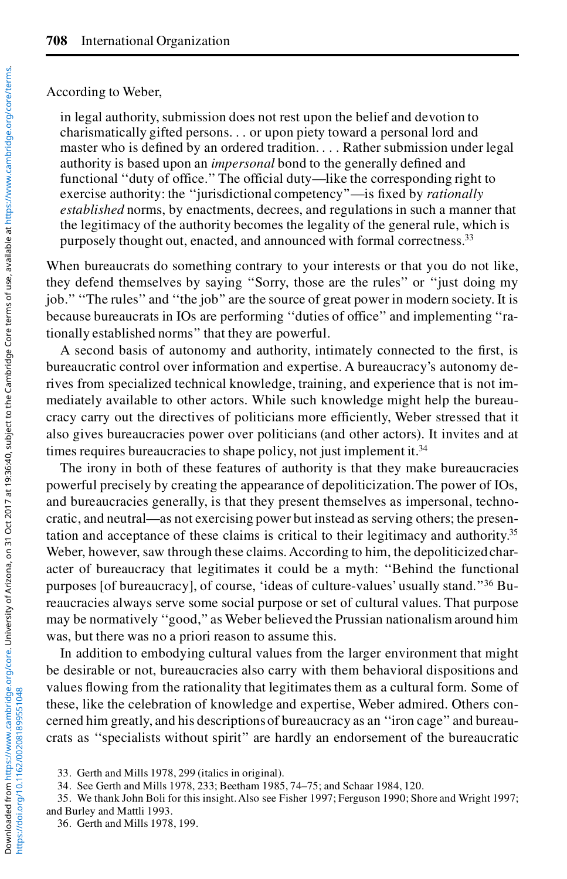#### According to Weber,

in legal authority, submission does not rest upon the belief and devotion to charismatically gifted persons. . . or upon piety toward a personal lord and master who is defined by an ordered tradition.... Rather submission under legal authority is based upon an *impersonal* bond to the generally defined and functional ''duty of office.'' The official duty—like the corresponding right to exercise authority: the "jurisdictional competency"—is fixed by *rationally established* norms, by enactments, decrees, and regulationsin such a manner that the legitimacy of the authority becomes the legality of the general rule, which is purposely thought out, enacted, and announced with formal correctness.<sup>33</sup>

When bureaucrats do something contrary to your interests or that you do not like, they defend themselves by saying ''Sorry, those are the rules'' or ''just doing my job.''''The rules'' and ''the job'' are the source of great power in modern society. It is because bureaucrats in IOs are performing ''duties of office'' and implementing ''rationally established norms'' that they are powerful.

A second basis of autonomy and authority, intimately connected to the first, is bureaucratic control over information and expertise. A bureaucracy's autonomy derives from specialized technical knowledge, training, and experience that is not immediately available to other actors. While such knowledge might help the bureaucracy carry out the directives of politicians more efficiently, Weber stressed that it also gives bureaucracies power over politicians (and other actors). It invites and at times requires bureaucracies to shape policy, not just implement it.<sup>34</sup>

The irony in both of these features of authority is that they make bureaucracies powerful precisely by creating the appearance of depoliticization.The power of IOs, and bureaucracies generally, is that they present themselves as impersonal, technocratic, and neutral—as not exercising power but instead as serving others; the presentation and acceptance of these claims is critical to their legitimacy and authority.<sup>35</sup> Weber, however, saw through these claims. According to him, the depoliticized character of bureaucracy that legitimates it could be a myth: ''Behind the functional purposes [of bureaucracy], of course, 'ideas of culture-values' usually stand.'' <sup>36</sup> Bureaucracies always serve some social purpose or set of cultural values. That purpose may be normatively ''good,'' as Weber believed the Prussian nationalism around him was, but there was no a priori reason to assume this.

In addition to embodying cultural values from the larger environment that might be desirable or not, bureaucracies also carry with them behavioral dispositions and values flowing from the rationality that legitimates them as a cultural form. Some of these, like the celebration of knowledge and expertise, Weber admired. Others concerned him greatly, and his descriptionsof bureaucracy as an ''iron cage'' and bureaucrats as ''specialists without spirit'' are hardly an endorsement of the bureaucratic

<sup>33.</sup> Gerth and Mills 1978, 299 (italics in original).

<sup>34.</sup> See Gerth and Mills 1978, 233; Beetham 1985, 74–75; and Schaar 1984, 120.

<sup>35.</sup> We thank John Boli for this insight.Also see Fisher 1997; Ferguson 1990; Shore and Wright 1997; and Burley and Mattli 1993.

<sup>36.</sup> Gerth and Mills 1978, 199.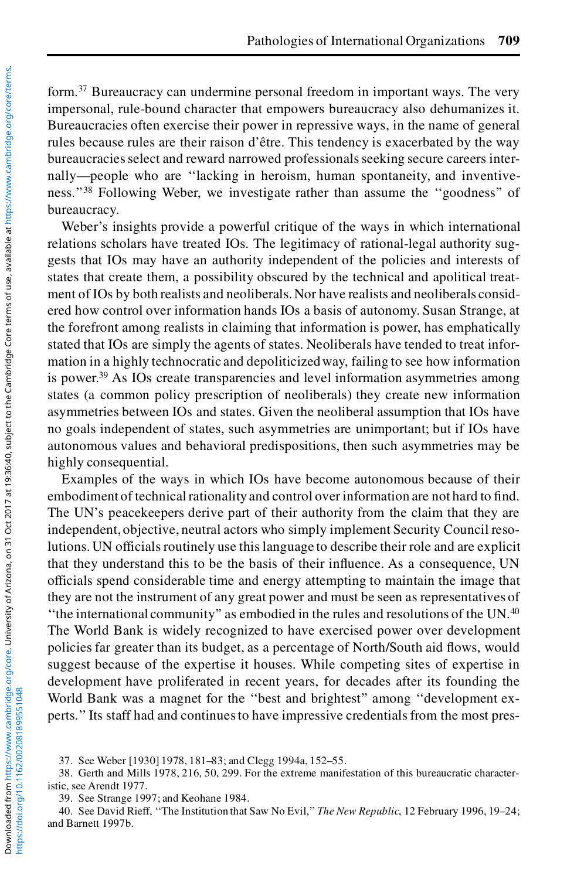form.<sup>37</sup> Bureaucracy can undermine personal freedom in important ways. The very impersonal, rule-bound character that empowers bureaucracy also dehumanizes it. Bureaucracies often exercise their power in repressive ways, in the name of general rules because rules are their raison d'être. This tendency is exacerbated by the way bureaucracies select and reward narrowed professionals seeking secure careers internally—people who are ''lacking in heroism, human spontaneity, and inventiveness.'' <sup>38</sup> Following Weber, we investigate rather than assume the ''goodness'' of bureaucracy.

Weber's insights provide a powerful critique of the ways in which international relations scholars have treated IOs. The legitimacy of rational-legal authority suggests that IOs may have an authority independent of the policies and interests of states that create them, a possibility obscured by the technical and apolitical treatment of IOs by both realists and neoliberals. Nor have realists and neoliberals considered how control over information hands IOs a basis of autonomy. Susan Strange, at the forefront among realists in claiming that information is power, has emphatically stated that IOs are simply the agents of states. Neoliberals have tended to treat information in a highly technocratic and depoliticizedway, failing to see how information is power.<sup>39</sup> As IOs create transparencies and level information asymmetries among states (a common policy prescription of neoliberals) they create new information asymmetries between IOs and states. Given the neoliberal assumption that IOs have no goals independent of states, such asymmetries are unimportant; but if IOs have autonomous values and behavioral predispositions, then such asymmetries may be highly consequential.

Examples of the ways in which IOs have become autonomous because of their embodiment of technical rationality and control over information are not hard to find. The UN's peacekeepers derive part of their authority from the claim that they are independent, objective, neutral actors who simply implement Security Council resolutions. UN officials routinely use this language to describe their role and are explicit that they understand this to be the basis of their influence. As a consequence, UN officials spend considerable time and energy attempting to maintain the image that they are not the instrument of any great power and must be seen as representatives of ''the international community'' as embodied in the rules and resolutions of the UN.<sup>40</sup> The World Bank is widely recognized to have exercised power over development policies far greater than its budget, as a percentage of North/South aid flows, would suggest because of the expertise it houses. While competing sites of expertise in development have proliferated in recent years, for decades after its founding the World Bank was a magnet for the ''best and brightest'' among ''development experts.''Its staff had and continuesto have impressive credentialsfrom the most pres-

<sup>37.</sup> See Weber [1930] 1978, 181–83; and Clegg 1994a, 152–55.

<sup>38.</sup> Gerth and Mills 1978, 216, 50, 299. For the extreme manifestation of this bureaucratic characteristic, see Arendt 1977.

<sup>39.</sup> See Strange 1997; and Keohane 1984.

<sup>40.</sup> See David Rieff, ''The Institution that Saw No Evil,'' *The New Republic*, 12 February 1996, 19–24; and Barnett 1997b.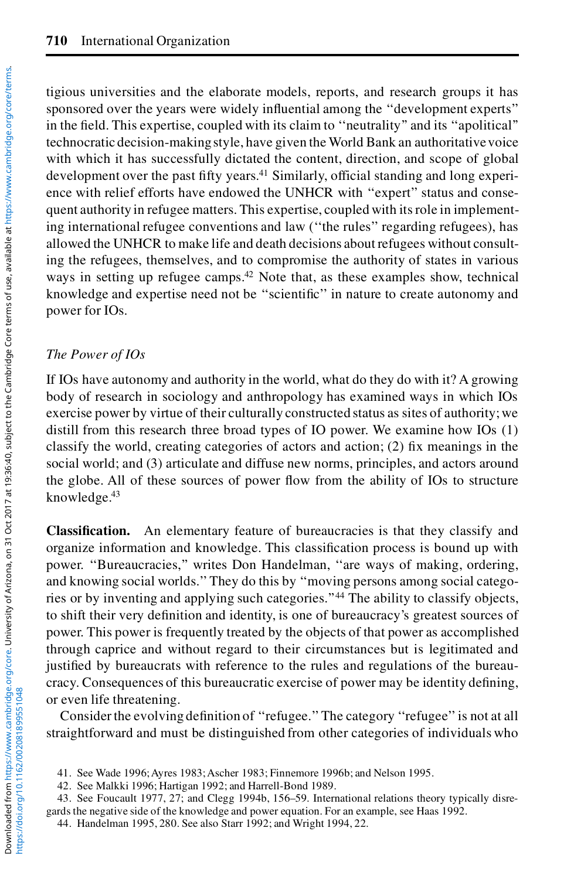tigious universities and the elaborate models, reports, and research groups it has sponsored over the years were widely influential among the "development experts" in the field. This expertise, coupled with its claim to "neutrality" and its "apolitical" technocratic decision-making style, have given the World Bank an authoritative voice with which it has successfully dictated the content, direction, and scope of global development over the past fifty years.<sup>41</sup> Similarly, official standing and long experience with relief efforts have endowed the UNHCR with ''expert'' status and consequent authority in refugee matters. This expertise, coupled with itsrole in implementing international refugee conventions and law (''the rules'' regarding refugees), has allowed the UNHCR to make life and death decisions about refugees without consulting the refugees, themselves, and to compromise the authority of states in various ways in setting up refugee camps.<sup>42</sup> Note that, as these examples show, technical knowledge and expertise need not be "scientific" in nature to create autonomy and power for IOs.

## *The Power of IOs*

If IOs have autonomy and authority in the world, what do they do with it? A growing body of research in sociology and anthropology has examined ways in which IOs exercise power by virtue of their culturally constructed status as sites of authority; we distill from this research three broad types of IO power. We examine how IOs (1) classify the world, creating categories of actors and action;  $(2)$  fix meanings in the social world; and (3) articulate and diffuse new norms, principles, and actors around the globe. All of these sources of power flow from the ability of IOs to structure knowledge.<sup>43</sup>

**Classification.** An elementary feature of bureaucracies is that they classify and organize information and knowledge. This classification process is bound up with power. ''Bureaucracies,'' writes Don Handelman, ''are ways of making, ordering, and knowing social worlds.''They do this by ''moving persons among social categories or by inventing and applying such categories.'' <sup>44</sup> The ability to classify objects, to shift their very definition and identity, is one of bureaucracy's greatest sources of power. This power is frequently treated by the objects of that power as accomplished through caprice and without regard to their circumstances but is legitimated and justified by bureaucrats with reference to the rules and regulations of the bureaucracy. Consequences of this bureaucratic exercise of power may be identity defining, or even life threatening.

Consider the evolving definition of "refugee." The category "refugee" is not at all straightforward and must be distinguished from other categories of individuals who

<sup>41.</sup> See Wade 1996;Ayres 1983;Ascher 1983; Finnemore 1996b; and Nelson 1995.

<sup>42.</sup> See Malkki 1996; Hartigan 1992; and Harrell-Bond 1989.

<sup>43.</sup> See Foucault 1977, 27; and Clegg 1994b, 156–59. International relations theory typically disregards the negative side of the knowledge and power equation. For an example, see Haas 1992.

<sup>44.</sup> Handelman 1995, 280. See also Starr 1992; and Wright 1994, 22.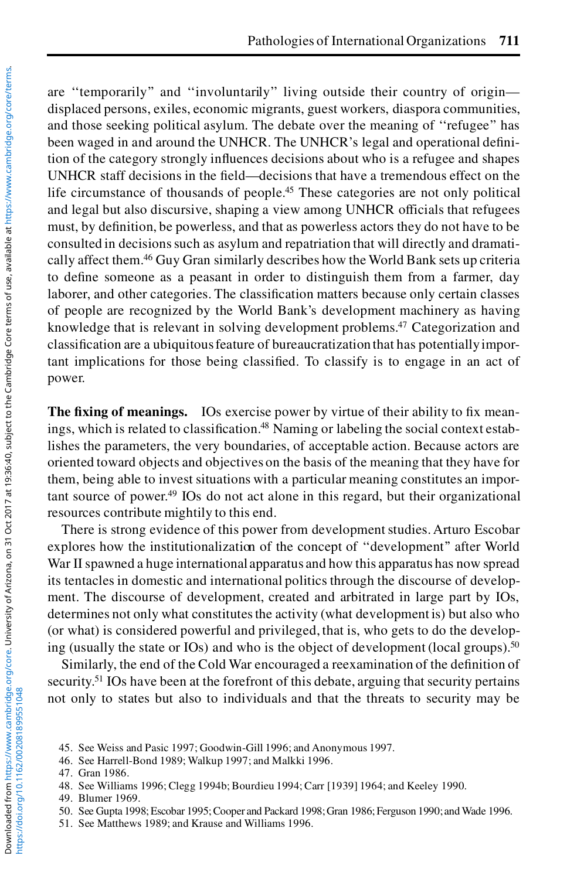are ''temporarily'' and ''involuntarily'' living outside their country of origin displaced persons, exiles, economic migrants, guest workers, diaspora communities, and those seeking political asylum. The debate over the meaning of ''refugee'' has been waged in and around the UNHCR. The UNHCR's legal and operational definition of the category strongly influences decisions about who is a refugee and shapes UNHCR staff decisions in the field—decisions that have a tremendous effect on the life circumstance of thousands of people.<sup>45</sup> These categories are not only political and legal but also discursive, shaping a view among UNHCR officials that refugees must, by definition, be powerless, and that as powerless actors they do not have to be consulted in decisionssuch as asylum and repatriation that will directly and dramatically affect them.<sup>46</sup> Guy Gran similarly describes how the World Bank sets up criteria to define someone as a peasant in order to distinguish them from a farmer, day laborer, and other categories. The classification matters because only certain classes of people are recognized by the World Bank's development machinery as having knowledge that is relevant in solving development problems.<sup>47</sup> Categorization and  $\alpha$  classification are a ubiquitous feature of bureaucratization that has potentially important implications for those being classified. To classify is to engage in an act of power.

**The fixing of meanings.** IOs exercise power by virtue of their ability to fix meanings, which is related to classification.<sup>48</sup> Naming or labeling the social context establishes the parameters, the very boundaries, of acceptable action. Because actors are oriented toward objects and objectives on the basis of the meaning that they have for them, being able to invest situations with a particular meaning constitutes an important source of power.<sup>49</sup> IOs do not act alone in this regard, but their organizational resources contribute mightily to this end.

There is strong evidence of this power from development studies. Arturo Escobar explores how the institutionalization of the concept of ''development'' after World War II spawned a huge international apparatus and how this apparatus has now spread its tentacles in domestic and international politics through the discourse of development. The discourse of development, created and arbitrated in large part by IOs, determines not only what constitutes the activity (what development is) but also who (or what) is considered powerful and privileged, that is, who gets to do the developing (usually the state or IOs) and who is the object of development (local groups).<sup>50</sup>

Similarly, the end of the Cold War encouraged a reexamination of the definition of security.<sup>51</sup> IOs have been at the forefront of this debate, arguing that security pertains not only to states but also to individuals and that the threats to security may be

- 45. See Weiss and Pasic 1997; Goodwin-Gill 1996; and Anonymous 1997.
- 46. See Harrell-Bond 1989; Walkup 1997; and Malkki 1996.
- 47. Gran 1986.
- 48. See Williams 1996; Clegg 1994b; Bourdieu 1994; Carr [1939] 1964; and Keeley 1990.
- 49. Blumer 1969.
- 50. See Gupta 1998;Escobar 1995;Cooper and Packard 1998;Gran 1986; Ferguson 1990; and Wade 1996.
- 51. See Matthews 1989; and Krause and Williams 1996.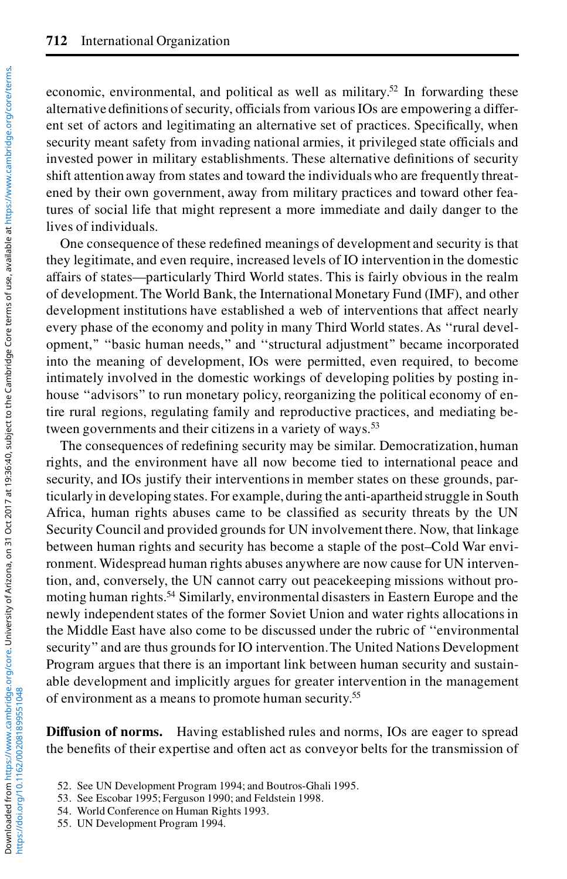economic, environmental, and political as well as military.<sup>52</sup> In forwarding these alternative definitions of security, officials from various IOs are empowering a different set of actors and legitimating an alternative set of practices. Specifically, when security meant safety from invading national armies, it privileged state officials and invested power in military establishments. These alternative definitions of security shift attention away from states and toward the individualswho are frequently threatened by their own government, away from military practices and toward other features of social life that might represent a more immediate and daily danger to the lives of individuals.

One consequence of these redefined meanings of development and security is that they legitimate, and even require, increased levels of IO intervention in the domestic affairs of states—particularly Third World states. This is fairly obvious in the realm of development.The World Bank, the International Monetary Fund (IMF), and other development institutions have established a web of interventions that affect nearly every phase of the economy and polity in many Third World states. As ''rural development,'' ''basic human needs,'' and ''structural adjustment'' became incorporated into the meaning of development, IOs were permitted, even required, to become intimately involved in the domestic workings of developing polities by posting inhouse "advisors" to run monetary policy, reorganizing the political economy of entire rural regions, regulating family and reproductive practices, and mediating between governments and their citizens in a variety of ways.<sup>53</sup>

The consequences of redefining security may be similar. Democratization, human rights, and the environment have all now become tied to international peace and security, and IOs justify their interventionsin member states on these grounds, particularly in developingstates. For example, during the anti-apartheid struggle in South Africa, human rights abuses came to be classified as security threats by the UN Security Council and provided groundsfor UN involvement there. Now, that linkage between human rights and security has become a staple of the post–Cold War environment. Widespread human rights abuses anywhere are now cause for UN intervention, and, conversely, the UN cannot carry out peacekeeping missions without promoting human rights.<sup>54</sup> Similarly, environmental disasters in Eastern Europe and the newly independent states of the former Soviet Union and water rights allocations in the Middle East have also come to be discussed under the rubric of ''environmental security'' and are thus groundsfor IO intervention.The United Nations Development Program argues that there is an important link between human security and sustainable development and implicitly argues for greater intervention in the management of environment as a means to promote human security.<sup>55</sup>

**Diffusion of norms.** Having established rules and norms, IOs are eager to spread the benefits of their expertise and often act as conveyor belts for the transmission of

- 53. See Escobar 1995; Ferguson 1990; and Feldstein 1998.
- 54. World Conference on Human Rights 1993.
- 55. UN Development Program 1994.

<sup>52.</sup> See UN Development Program 1994; and Boutros-Ghali 1995.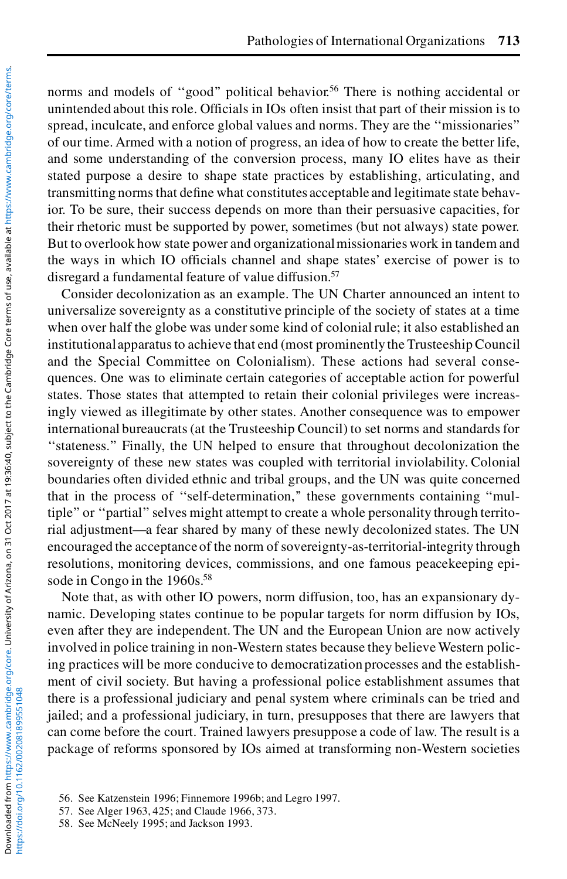norms and models of "good" political behavior.<sup>56</sup> There is nothing accidental or unintended about this role. Officials in IOs often insist that part of their mission is to spread, inculcate, and enforce global values and norms. They are the ''missionaries'' of our time. Armed with a notion of progress, an idea of how to create the better life, and some understanding of the conversion process, many IO elites have as their stated purpose a desire to shape state practices by establishing, articulating, and transmitting norms that define what constitutes acceptable and legitimate state behavior. To be sure, their success depends on more than their persuasive capacities, for their rhetoric must be supported by power, sometimes (but not always) state power. But to overlook how state power and organizationalmissionaries work in tandem and the ways in which IO officials channel and shape states' exercise of power is to disregard a fundamental feature of value diffusion.<sup>57</sup>

Consider decolonization as an example. The UN Charter announced an intent to universalize sovereignty as a constitutive principle of the society of states at a time when over half the globe was under some kind of colonial rule; it also established an institutional apparatus to achieve that end (most prominently the Trusteeship Council and the Special Committee on Colonialism). These actions had several consequences. One was to eliminate certain categories of acceptable action for powerful states. Those states that attempted to retain their colonial privileges were increasingly viewed as illegitimate by other states. Another consequence was to empower international bureaucrats (at the Trusteeship Council) to set norms and standards for ''stateness.'' Finally, the UN helped to ensure that throughout decolonization the sovereignty of these new states was coupled with territorial inviolability. Colonial boundaries often divided ethnic and tribal groups, and the UN was quite concerned that in the process of "self-determination," these governments containing "multiple'' or ''partial''selves might attempt to create a whole personality through territorial adjustment—a fear shared by many of these newly decolonized states. The UN encouraged the acceptance of the norm of sovereignty-as-territorial-integrity through resolutions, monitoring devices, commissions, and one famous peacekeeping episode in Congo in the 1960s.<sup>58</sup>

Note that, as with other IO powers, norm diffusion, too, has an expansionary dynamic. Developing states continue to be popular targets for norm diffusion by IOs, even after they are independent. The UN and the European Union are now actively involved in police training in non-Western states because they believe Western policing practices will be more conducive to democratization processes and the establishment of civil society. But having a professional police establishment assumes that there is a professional judiciary and penal system where criminals can be tried and jailed; and a professional judiciary, in turn, presupposes that there are lawyers that can come before the court. Trained lawyers presuppose a code of law. The result is a package of reforms sponsored by IOs aimed at transforming non-Western societies

<sup>56.</sup> See Katzenstein 1996; Finnemore 1996b; and Legro 1997.

<sup>57.</sup> See Alger 1963, 425; and Claude 1966, 373.

<sup>58.</sup> See McNeely 1995; and Jackson 1993.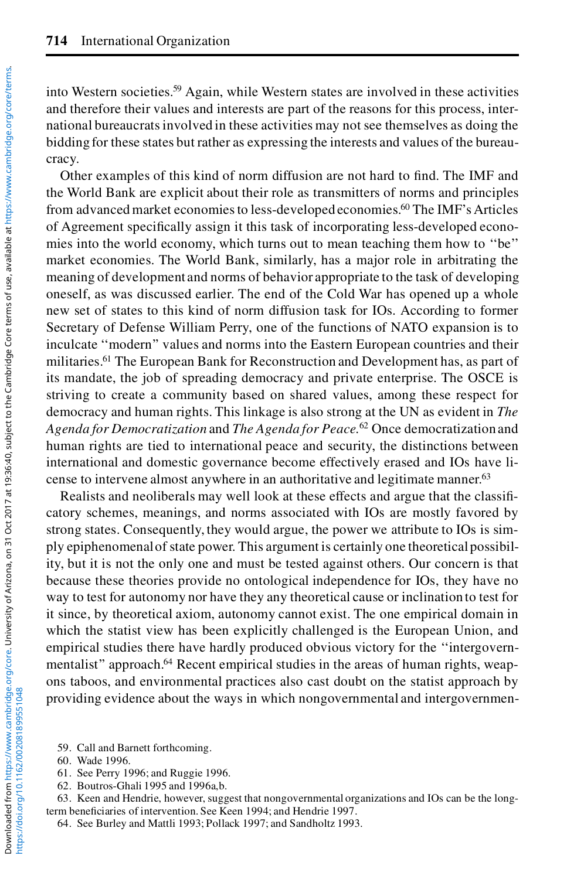into Western societies.<sup>59</sup> Again, while Western states are involved in these activities and therefore their values and interests are part of the reasons for this process, international bureaucratsinvolved in these activities may not see themselves as doing the bidding for these states but rather as expressing the interests and values of the bureaucracy.

Other examples of this kind of norm diffusion are not hard to find. The IMF and the World Bank are explicit about their role as transmitters of norms and principles from advanced market economies to less-developed economies.<sup>60</sup> The IMF's Articles of Agreement specifically assign it this task of incorporating less-developed economies into the world economy, which turns out to mean teaching them how to ''be'' market economies. The World Bank, similarly, has a major role in arbitrating the meaning of development and norms of behavior appropriate to the task of developing oneself, as was discussed earlier. The end of the Cold War has opened up a whole new set of states to this kind of norm diffusion task for IOs. According to former Secretary of Defense William Perry, one of the functions of NATO expansion is to inculcate ''modern'' values and norms into the Eastern European countries and their militaries.<sup>61</sup> The European Bank for Reconstruction and Development has, as part of its mandate, the job of spreading democracy and private enterprise. The OSCE is striving to create a community based on shared values, among these respect for democracy and human rights. This linkage is also strong at the UN as evident in *The Agenda for Democratization* and *The Agenda for Peace.*<sup>62</sup> Once democratizationand human rights are tied to international peace and security, the distinctions between international and domestic governance become effectively erased and IOs have license to intervene almost anywhere in an authoritative and legitimate manner.<sup>63</sup>

Realists and neoliberals may well look at these effects and argue that the classificatory schemes, meanings, and norms associated with IOs are mostly favored by strong states. Consequently, they would argue, the power we attribute to IOs is simply epiphenomenalofstate power. This argument is certainly one theoreticalpossibility, but it is not the only one and must be tested against others. Our concern is that because these theories provide no ontological independence for IOs, they have no way to test for autonomy nor have they any theoretical cause or inclination to test for it since, by theoretical axiom, autonomy cannot exist. The one empirical domain in which the statist view has been explicitly challenged is the European Union, and empirical studies there have hardly produced obvious victory for the ''intergovernmentalist" approach.<sup>64</sup> Recent empirical studies in the areas of human rights, weapons taboos, and environmental practices also cast doubt on the statist approach by providing evidence about the ways in which nongovernmental and intergovernmen-

- 59. Call and Barnett forthcoming.
- 60. Wade 1996.
- 61. See Perry 1996; and Ruggie 1996.
- 62. Boutros-Ghali 1995 and 1996a,b.

64. See Burley and Mattli 1993; Pollack 1997; and Sandholtz 1993.

<sup>63.</sup> Keen and Hendrie, however, suggest that nongovernmental organizations and IOs can be the longterm beneficiaries of intervention. See Keen 1994; and Hendrie 1997.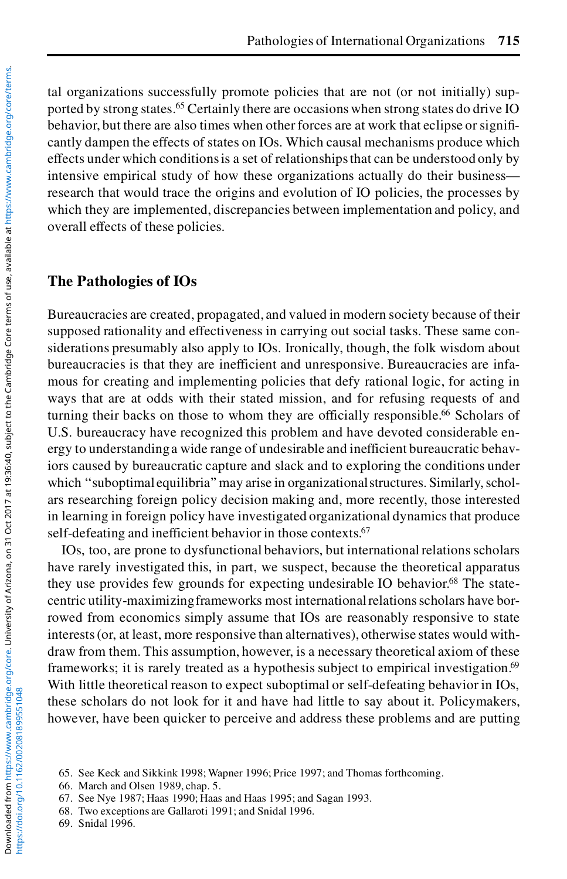tal organizations successfully promote policies that are not (or not initially) supported by strong states.<sup>65</sup> Certainly there are occasions when strong states do drive IO behavior, but there are also times when other forces are at work that eclipse or significantly dampen the effects of states on IOs. Which causal mechanisms produce which effects under which conditionsis a set of relationshipsthat can be understood only by intensive empirical study of how these organizations actually do their business research that would trace the origins and evolution of IO policies, the processes by which they are implemented, discrepancies between implementation and policy, and overall effects of these policies.

## **The Pathologies of IOs**

Bureaucracies are created, propagated, and valued in modern society because of their supposed rationality and effectiveness in carrying out social tasks. These same considerations presumably also apply to IOs. Ironically, though, the folk wisdom about bureaucracies is that they are inefficient and unresponsive. Bureaucracies are infamous for creating and implementing policies that defy rational logic, for acting in ways that are at odds with their stated mission, and for refusing requests of and turning their backs on those to whom they are officially responsible.<sup>66</sup> Scholars of U.S. bureaucracy have recognized this problem and have devoted considerable energy to understandinga wide range of undesirable and inefficient bureaucratic behaviors caused by bureaucratic capture and slack and to exploring the conditions under which "suboptimal equilibria" may arise in organizational structures. Similarly, scholars researching foreign policy decision making and, more recently, those interested in learning in foreign policy have investigated organizational dynamicsthat produce self-defeating and inefficient behavior in those contexts.<sup>67</sup>

IOs, too, are prone to dysfunctional behaviors, but international relationsscholars have rarely investigated this, in part, we suspect, because the theoretical apparatus they use provides few grounds for expecting undesirable IO behavior.<sup>68</sup> The statecentric utility-maximizingframeworks most internationalrelationsscholars have borrowed from economics simply assume that IOs are reasonably responsive to state interests(or, at least, more responsive than alternatives), otherwise states would withdraw from them. This assumption, however, is a necessary theoretical axiom of these frameworks; it is rarely treated as a hypothesis subject to empirical investigation.<sup>69</sup> With little theoretical reason to expect suboptimal or self-defeating behavior in IOs, these scholars do not look for it and have had little to say about it. Policymakers, however, have been quicker to perceive and address these problems and are putting

<sup>65.</sup> See Keck and Sikkink 1998; Wapner 1996; Price 1997; and Thomas forthcoming.

<sup>66.</sup> March and Olsen 1989, chap. 5.

<sup>67.</sup> See Nye 1987; Haas 1990; Haas and Haas 1995; and Sagan 1993.

<sup>68.</sup> Two exceptions are Gallaroti 1991; and Snidal 1996.

<sup>69.</sup> Snidal 1996.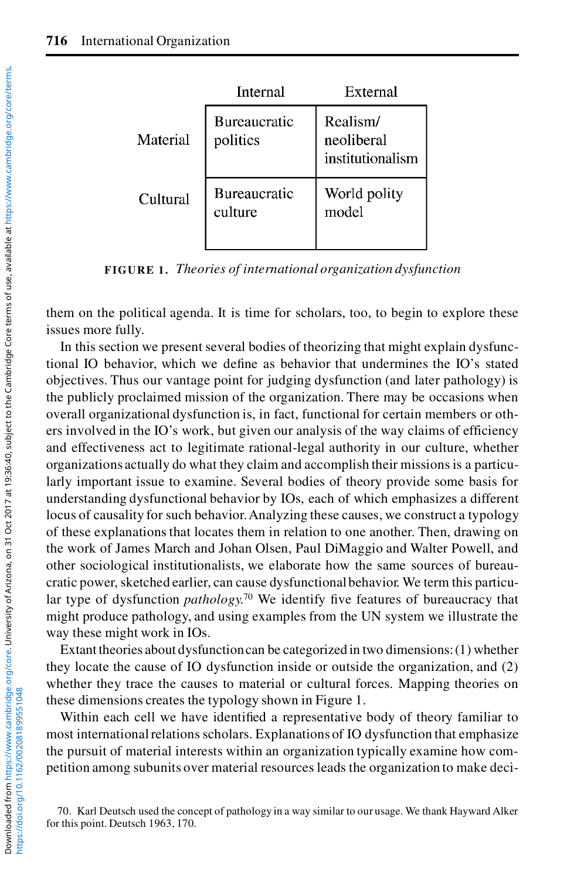|          | Internal                 | External                                   |
|----------|--------------------------|--------------------------------------------|
| Material | Bureaucratic<br>politics | Realism/<br>neoliberal<br>institutionalism |
| Cultural | Bureaucratic<br>culture  | World polity<br>model                      |
|          |                          |                                            |

**FIGURE 1.***Theories of international organization dysfunction*

them on the political agenda. It is time for scholars, too, to begin to explore these issues more fully.

In this section we present several bodies of theorizing that might explain dysfunctional IO behavior, which we define as behavior that undermines the IO's stated objectives. Thus our vantage point for judging dysfunction (and later pathology) is the publicly proclaimed mission of the organization. There may be occasions when overall organizational dysfunction is, in fact, functional for certain members or others involved in the IO's work, but given our analysis of the way claims of efficiency and effectiveness act to legitimate rational-legal authority in our culture, whether organizations actually do what they claim and accomplish their missionsis a particularly important issue to examine. Several bodies of theory provide some basis for understanding dysfunctional behavior by IOs, each of which emphasizes a different locus of causality for such behavior. Analyzing these causes, we construct a typology of these explanationsthat locates them in relation to one another. Then, drawing on the work of James March and Johan Olsen, Paul DiMaggio and Walter Powell, and other sociological institutionalists, we elaborate how the same sources of bureaucratic power, sketched earlier, can cause dysfunctionalbehavior. We term this particular type of dysfunction  $pathology$ <sup>70</sup> We identify five features of bureaucracy that might produce pathology, and using examples from the UN system we illustrate the way these might work in IOs.

Extant theories about dysfunctioncan be categorized in two dimensions:(1) whether they locate the cause of IO dysfunction inside or outside the organization, and (2) whether they trace the causes to material or cultural forces. Mapping theories on these dimensions creates the typology shown in Figure 1.

Within each cell we have identified a representative body of theory familiar to most international relations scholars. Explanations of IO dysfunction that emphasize the pursuit of material interests within an organization typically examine how competition among subunits over material resources leads the organization to make deci-

70. Karl Deutsch used the concept of pathology in a way similar to our usage. We thank Hayward Alker for this point. Deutsch 1963, 170.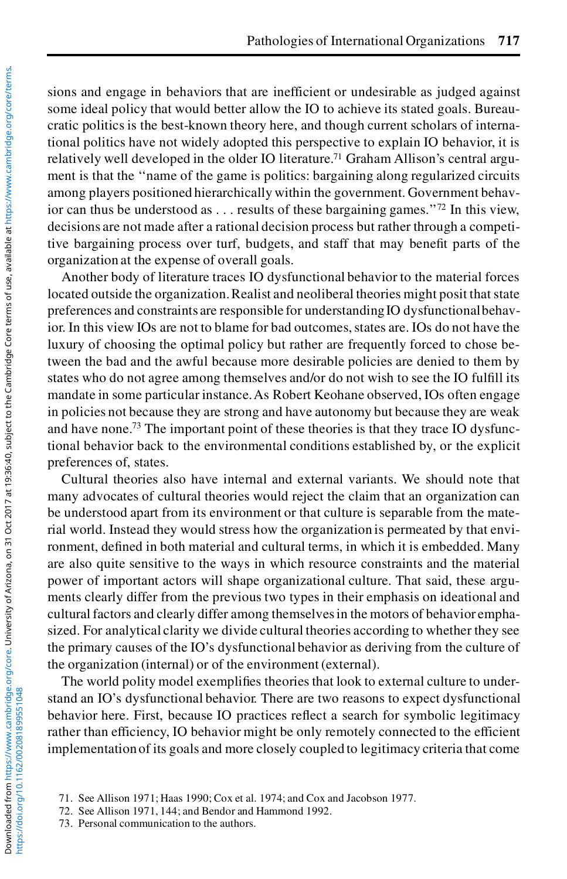sions and engage in behaviors that are inefficient or undesirable as judged against some ideal policy that would better allow the IO to achieve its stated goals. Bureaucratic politics is the best-known theory here, and though current scholars of international politics have not widely adopted this perspective to explain IO behavior, it is relatively well developed in the older IO literature.<sup>71</sup> Graham Allison's central argument is that the ''name of the game is politics: bargaining along regularized circuits among players positioned hierarchically within the government. Government behavior can thus be understood as . . . results of these bargaining games.'' <sup>72</sup> In this view, decisions are not made after a rational decision process but rather through a competitive bargaining process over turf, budgets, and staff that may benefit parts of the organization at the expense of overall goals.

Another body of literature traces IO dysfunctional behavior to the material forces located outside the organization. Realist and neoliberal theories might posit that state preferences and constraints are responsible for understandingIO dysfunctionalbehavior. In this view IOs are not to blame for bad outcomes, states are. IOs do not have the luxury of choosing the optimal policy but rather are frequently forced to chose between the bad and the awful because more desirable policies are denied to them by states who do not agree among themselves and/or do not wish to see the IO fulfill its mandate in some particular instance.As Robert Keohane observed, IOs often engage in policies not because they are strong and have autonomy but because they are weak and have none.<sup>73</sup> The important point of these theories is that they trace IO dysfunctional behavior back to the environmental conditions established by, or the explicit preferences of, states.

Cultural theories also have internal and external variants. We should note that many advocates of cultural theories would reject the claim that an organization can be understood apart from its environment or that culture is separable from the material world. Instead they would stress how the organization is permeated by that environment, defined in both material and cultural terms, in which it is embedded. Many are also quite sensitive to the ways in which resource constraints and the material power of important actors will shape organizational culture. That said, these arguments clearly differ from the previous two types in their emphasis on ideational and culturalfactors and clearly differ among themselvesin the motors of behavior emphasized. For analytical clarity we divide cultural theories according to whether they see the primary causes of the IO's dysfunctional behavior as deriving from the culture of the organization (internal) or of the environment (external).

The world polity model exemplifies theories that look to external culture to understand an IO's dysfunctional behavior. There are two reasons to expect dysfunctional behavior here. First, because IO practices reflect a search for symbolic legitimacy rather than efficiency, IO behavior might be only remotely connected to the efficient implementationof its goals and more closely coupled to legitimacy criteria that come

- 72. See Allison 1971, 144; and Bendor and Hammond 1992.
- 73. Personal communication to the authors.

<sup>71.</sup> See Allison 1971; Haas 1990; Cox et al. 1974; and Cox and Jacobson 1977.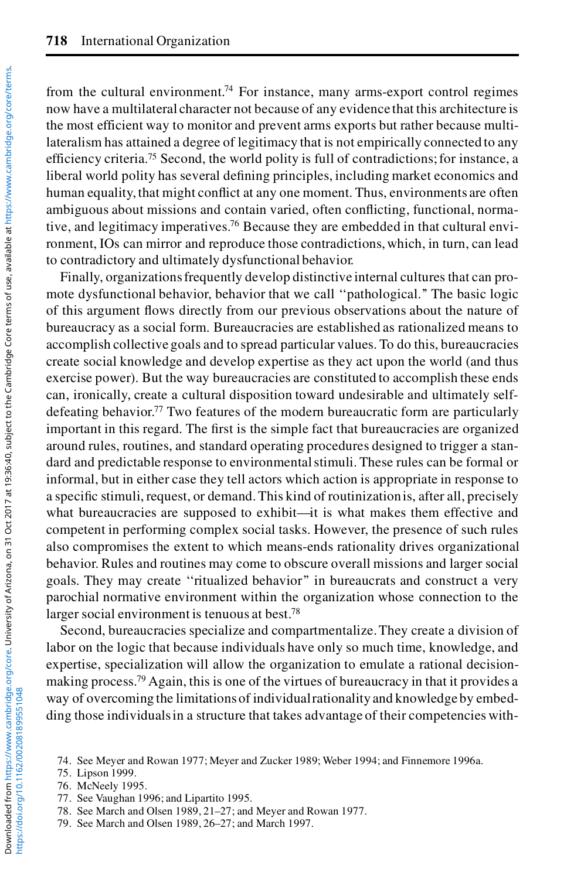from the cultural environment.<sup>74</sup> For instance, many arms-export control regimes now have a multilateral character not because of any evidence that this architecture is the most efficient way to monitor and prevent arms exports but rather because multilateralism has attained a degree of legitimacy that is not empirically connected to any efficiency criteria.<sup>75</sup> Second, the world polity is full of contradictions;for instance, a liberal world polity has several defining principles, including market economics and human equality, that might conflict at any one moment. Thus, environments are often ambiguous about missions and contain varied, often conflicting, functional, normative, and legitimacy imperatives.<sup>76</sup> Because they are embedded in that cultural environment, IOs can mirror and reproduce those contradictions,which, in turn, can lead to contradictory and ultimately dysfunctional behavior.

Finally, organizationsfrequently develop distinctive internal cultures that can promote dysfunctional behavior, behavior that we call ''pathological.'' The basic logic of this argument flows directly from our previous observations about the nature of bureaucracy as a social form. Bureaucracies are established as rationalized means to accomplish collective goals and to spread particular values. To do this, bureaucracies create social knowledge and develop expertise as they act upon the world (and thus exercise power). But the way bureaucracies are constituted to accomplish these ends can, ironically, create a cultural disposition toward undesirable and ultimately selfdefeating behavior.<sup>77</sup> Two features of the modern bureaucratic form are particularly important in this regard. The first is the simple fact that bureaucracies are organized around rules, routines, and standard operating procedures designed to trigger a standard and predictable response to environmentalstimuli. These rules can be formal or informal, but in either case they tell actors which action is appropriate in response to a specific stimuli, request, or demand. This kind of routinization is, after all, precisely what bureaucracies are supposed to exhibit—it is what makes them effective and competent in performing complex social tasks. However, the presence of such rules also compromises the extent to which means-ends rationality drives organizational behavior. Rules and routines may come to obscure overall missions and larger social goals. They may create ''ritualized behavior'' in bureaucrats and construct a very parochial normative environment within the organization whose connection to the larger social environment is tenuous at best.<sup>78</sup>

Second, bureaucracies specialize and compartmentalize.They create a division of labor on the logic that because individuals have only so much time, knowledge, and expertise, specialization will allow the organization to emulate a rational decisionmaking process.<sup>79</sup> Again, this is one of the virtues of bureaucracy in that it provides a way of overcoming the limitationsof individualrationality and knowledge by embedding those individualsin a structure that takes advantage of their competencies with-

- 75. Lipson 1999.
- 76. McNeely 1995.
- 77. See Vaughan 1996; and Lipartito 1995.
- 78. See March and Olsen 1989, 21–27; and Meyer and Rowan 1977.
- 79. See March and Olsen 1989, 26–27; and March 1997.

<sup>74.</sup> See Meyer and Rowan 1977; Meyer and Zucker 1989; Weber 1994; and Finnemore 1996a.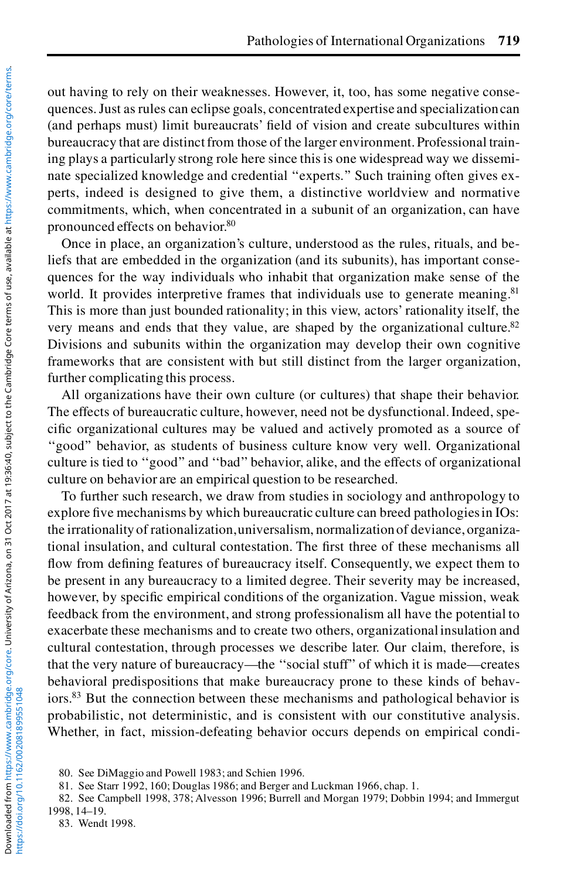out having to rely on their weaknesses. However, it, too, has some negative consequences.Just asrules can eclipse goals, concentrated expertise and specializationcan (and perhaps must) limit bureaucrats' field of vision and create subcultures within bureaucracy that are distinct from those of the larger environment. Professional training plays a particularly strong role here since this is one widespread way we disseminate specialized knowledge and credential ''experts.'' Such training often gives experts, indeed is designed to give them, a distinctive worldview and normative commitments, which, when concentrated in a subunit of an organization, can have pronounced effects on behavior.<sup>80</sup>

Once in place, an organization's culture, understood as the rules, rituals, and beliefs that are embedded in the organization (and its subunits), has important consequences for the way individuals who inhabit that organization make sense of the world. It provides interpretive frames that individuals use to generate meaning.<sup>81</sup> This is more than just bounded rationality; in this view, actors' rationality itself, the very means and ends that they value, are shaped by the organizational culture.<sup>82</sup> Divisions and subunits within the organization may develop their own cognitive frameworks that are consistent with but still distinct from the larger organization, further complicating this process.

All organizations have their own culture (or cultures) that shape their behavior. The effects of bureaucratic culture, however, need not be dysfunctional.Indeed, specific organizational cultures may be valued and actively promoted as a source of ''good'' behavior, as students of business culture know very well. Organizational culture is tied to ''good'' and ''bad'' behavior, alike, and the effects of organizational culture on behavior are an empirical question to be researched.

To further such research, we draw from studies in sociology and anthropology to explore five mechanisms by which bureaucratic culture can breed pathologies in IOs: the irrationality of rationalization,universalism, normalization of deviance,organizational insulation, and cultural contestation. The first three of these mechanisms all flow from defining features of bureaucracy itself. Consequently, we expect them to be present in any bureaucracy to a limited degree. Their severity may be increased, however, by specific empirical conditions of the organization. Vague mission, weak feedback from the environment, and strong professionalism all have the potential to exacerbate these mechanisms and to create two others, organizationalinsulation and cultural contestation, through processes we describe later. Our claim, therefore, is that the very nature of bureaucracy—the ''social stuff'' of which it is made—creates behavioral predispositions that make bureaucracy prone to these kinds of behaviors.<sup>83</sup> But the connection between these mechanisms and pathological behavior is probabilistic, not deterministic, and is consistent with our constitutive analysis. Whether, in fact, mission-defeating behavior occurs depends on empirical condi-

<sup>80.</sup> See DiMaggio and Powell 1983; and Schien 1996.

<sup>81.</sup> See Starr 1992, 160; Douglas 1986; and Berger and Luckman 1966, chap. 1.

<sup>82.</sup> See Campbell 1998, 378; Alvesson 1996; Burrell and Morgan 1979; Dobbin 1994; and Immergut 1998, 14–19.

<sup>83.</sup> Wendt 1998.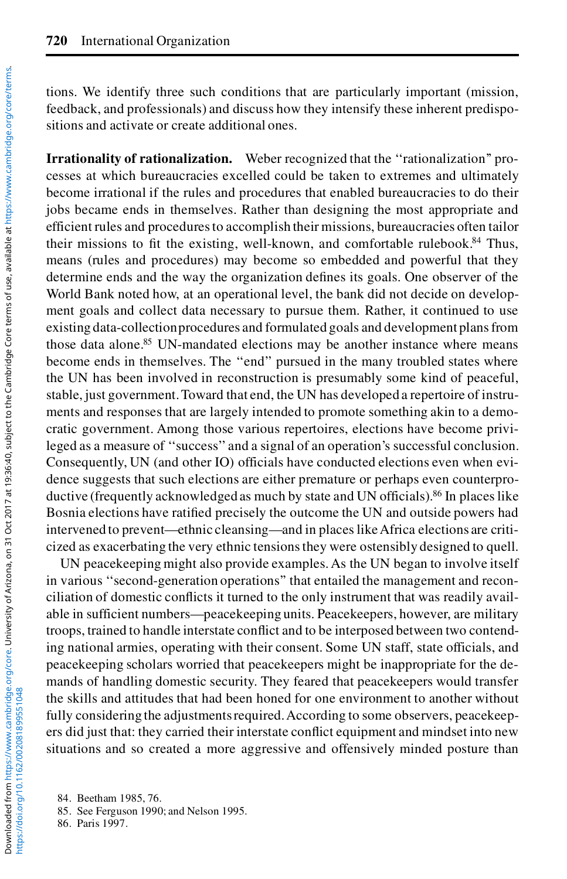tions. We identify three such conditions that are particularly important (mission, feedback, and professionals) and discuss how they intensify these inherent predispositions and activate or create additional ones.

**Irrationality of rationalization.** Weber recognized that the ''rationalization'' processes at which bureaucracies excelled could be taken to extremes and ultimately become irrational if the rules and procedures that enabled bureaucracies to do their jobs became ends in themselves. Rather than designing the most appropriate and efficient rules and procedures to accomplish their missions, bureaucracies often tailor their missions to fit the existing, well-known, and comfortable rulebook.<sup>84</sup> Thus, means (rules and procedures) may become so embedded and powerful that they determine ends and the way the organization defines its goals. One observer of the World Bank noted how, at an operational level, the bank did not decide on development goals and collect data necessary to pursue them. Rather, it continued to use existing data-collectionprocedures and formulated goals and development plansfrom those data alone. $85$  UN-mandated elections may be another instance where means become ends in themselves. The ''end'' pursued in the many troubled states where the UN has been involved in reconstruction is presumably some kind of peaceful, stable, just government.Toward that end, the UN has developed a repertoire of instruments and responses that are largely intended to promote something akin to a democratic government. Among those various repertoires, elections have become privileged as a measure of ''success'' and a signal of an operation's successful conclusion. Consequently, UN (and other IO) officials have conducted elections even when evidence suggests that such elections are either premature or perhaps even counterproductive (frequently acknowledged as much by state and UN officials).<sup>86</sup> In places like Bosnia elections have ratified precisely the outcome the UN and outside powers had intervened to prevent—ethnic cleansing—and in places like Africa elections are criticized as exacerbating the very ethnic tensionsthey were ostensibly designed to quell.

UN peacekeeping might also provide examples. As the UN began to involve itself in various ''second-generation operations'' that entailed the management and reconciliation of domestic conflicts it turned to the only instrument that was readily available in sufficient numbers—peacekeeping units. Peacekeepers, however, are military troops, trained to handle interstate conflict and to be interposed between two contending national armies, operating with their consent. Some UN staff, state officials, and peacekeeping scholars worried that peacekeepers might be inappropriate for the demands of handling domestic security. They feared that peacekeepers would transfer the skills and attitudes that had been honed for one environment to another without fully considering the adjustments required. According to some observers, peacekeepers did just that: they carried their interstate conflict equipment and mindset into new situations and so created a more aggressive and offensively minded posture than

<sup>84.</sup> Beetham 1985, 76.

<sup>85.</sup> See Ferguson 1990; and Nelson 1995.

<sup>86.</sup> Paris 1997.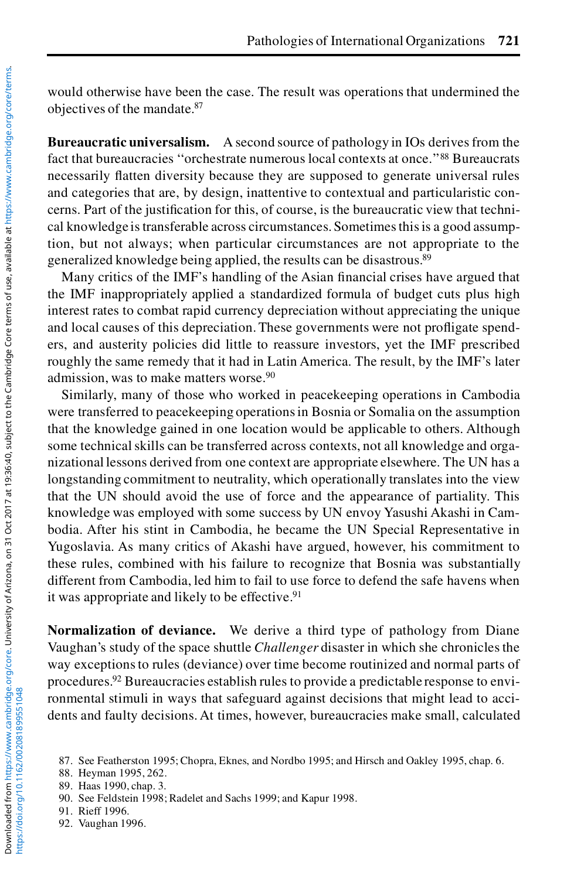would otherwise have been the case. The result was operations that undermined the objectives of the mandate.<sup>87</sup>

**Bureaucratic universalism.** A second source of pathology in IOs derivesfrom the fact that bureaucracies''orchestrate numerous local contexts at once.'' <sup>88</sup> Bureaucrats necessarily flatten diversity because they are supposed to generate universal rules and categories that are, by design, inattentive to contextual and particularistic concerns. Part of the justification for this, of course, is the bureaucratic view that technical knowledge is transferable across circumstances. Sometimes this is a good assumption, but not always; when particular circumstances are not appropriate to the generalized knowledge being applied, the results can be disastrous.<sup>89</sup>

Many critics of the IMF's handling of the Asian financial crises have argued that the IMF inappropriately applied a standardized formula of budget cuts plus high interest rates to combat rapid currency depreciation without appreciating the unique and local causes of this depreciation. These governments were not profligate spenders, and austerity policies did little to reassure investors, yet the IMF prescribed roughly the same remedy that it had in Latin America. The result, by the IMF's later admission, was to make matters worse.<sup>90</sup>

Similarly, many of those who worked in peacekeeping operations in Cambodia were transferred to peacekeeping operationsin Bosnia or Somalia on the assumption that the knowledge gained in one location would be applicable to others. Although some technical skills can be transferred across contexts, not all knowledge and organizational lessons derived from one context are appropriate elsewhere. The UN has a longstanding commitment to neutrality, which operationally translates into the view that the UN should avoid the use of force and the appearance of partiality. This knowledge was employed with some success by UN envoy Yasushi Akashi in Cambodia. After his stint in Cambodia, he became the UN Special Representative in Yugoslavia. As many critics of Akashi have argued, however, his commitment to these rules, combined with his failure to recognize that Bosnia was substantially different from Cambodia, led him to fail to use force to defend the safe havens when it was appropriate and likely to be effective.<sup>91</sup>

**Normalization of deviance.** We derive a third type of pathology from Diane Vaughan's study of the space shuttle *Challenger* disaster in which she chroniclesthe way exceptionsto rules (deviance) over time become routinized and normal parts of procedures.<sup>92</sup> Bureaucracies establish rules to provide a predictable response to environmental stimuli in ways that safeguard against decisions that might lead to accidents and faulty decisions. At times, however, bureaucracies make small, calculated

92. Vaughan 1996.

<sup>87.</sup> See Featherston 1995; Chopra, Eknes, and Nordbo 1995; and Hirsch and Oakley 1995, chap. 6.

<sup>88.</sup> Heyman 1995, 262.

<sup>89.</sup> Haas 1990, chap. 3.

<sup>90.</sup> See Feldstein 1998; Radelet and Sachs 1999; and Kapur 1998.

<sup>91.</sup> Rieff 1996.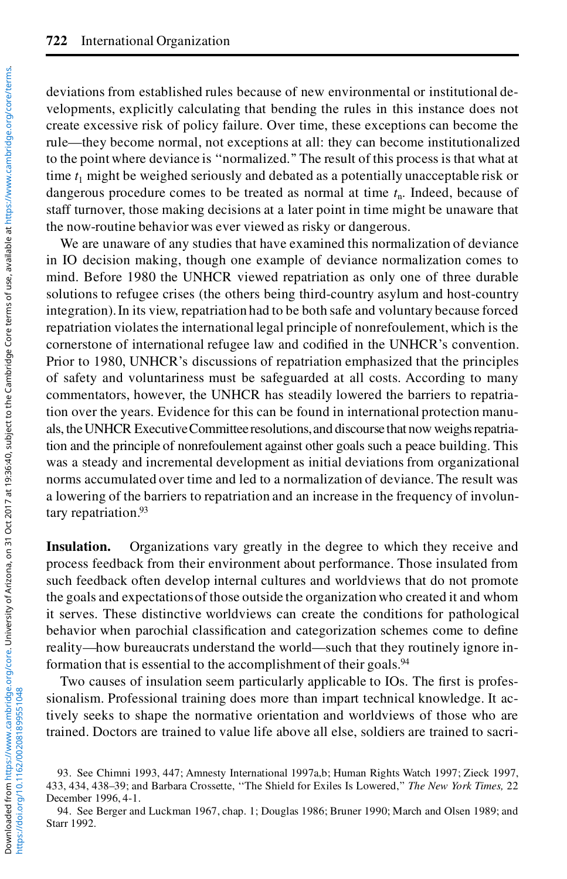deviations from established rules because of new environmental or institutional developments, explicitly calculating that bending the rules in this instance does not create excessive risk of policy failure. Over time, these exceptions can become the rule—they become normal, not exceptions at all: they can become institutionalized to the point where deviance is ''normalized.''The result of this process is that what at time  $t_1$  might be weighed seriously and debated as a potentially unacceptable risk or dangerous procedure comes to be treated as normal at time  $t_n$ . Indeed, because of staff turnover, those making decisions at a later point in time might be unaware that the now-routine behavior was ever viewed as risky or dangerous.

We are unaware of any studies that have examined this normalization of deviance in IO decision making, though one example of deviance normalization comes to mind. Before 1980 the UNHCR viewed repatriation as only one of three durable solutions to refugee crises (the others being third-country asylum and host-country integration).In its view, repatriation had to be both safe and voluntary because forced repatriation violates the international legal principle of nonrefoulement, which is the cornerstone of international refugee law and codified in the UNHCR's convention. Prior to 1980, UNHCR's discussions of repatriation emphasized that the principles of safety and voluntariness must be safeguarded at all costs. According to many commentators, however, the UNHCR has steadily lowered the barriers to repatriation over the years. Evidence for this can be found in international protection manuals, theUNHCR ExecutiveCommittee resolutions,and discourse that now weighsrepatriation and the principle of nonrefoulement against other goals such a peace building. This was a steady and incremental development as initial deviations from organizational norms accumulated over time and led to a normalization of deviance. The result was a lowering of the barriers to repatriation and an increase in the frequency of involuntary repatriation.<sup>93</sup>

**Insulation.** Organizations vary greatly in the degree to which they receive and process feedback from their environment about performance. Those insulated from such feedback often develop internal cultures and worldviews that do not promote the goals and expectationsof those outside the organization who created itand whom it serves. These distinctive worldviews can create the conditions for pathological behavior when parochial classification and categorization schemes come to define reality—how bureaucrats understand the world—such that they routinely ignore information that is essential to the accomplishment of their goals.<sup>94</sup>

Two causes of insulation seem particularly applicable to IOs. The first is professionalism. Professional training does more than impart technical knowledge. It actively seeks to shape the normative orientation and worldviews of those who are trained. Doctors are trained to value life above all else, soldiers are trained to sacri-

<sup>93.</sup> See Chimni 1993, 447; Amnesty International 1997a,b; Human Rights Watch 1997; Zieck 1997, 433, 434, 438–39; and Barbara Crossette, ''The Shield for Exiles Is Lowered,'' *The New York Times,* 22 December 1996, 4-1.

<sup>94.</sup> See Berger and Luckman 1967, chap. 1; Douglas 1986; Bruner 1990; March and Olsen 1989; and Starr 1992.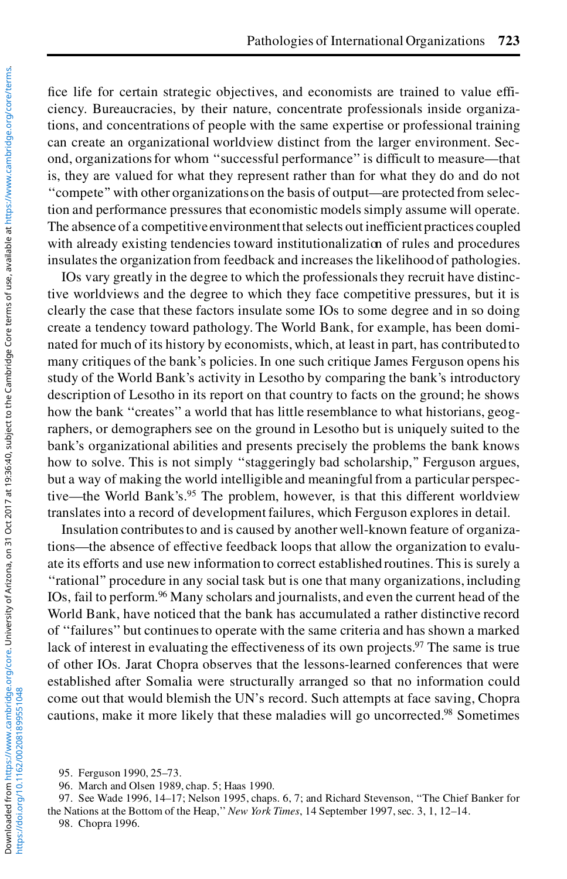fice life for certain strategic objectives, and economists are trained to value efficiency. Bureaucracies, by their nature, concentrate professionals inside organizations, and concentrations of people with the same expertise or professional training can create an organizational worldview distinct from the larger environment. Second, organizationsfor whom ''successful performance''is difficult to measure—that is, they are valued for what they represent rather than for what they do and do not ''compete''with other organizationson the basis of output—are protected from selection and performance pressures that economistic models simply assume will operate. The absence of a competitive environment that selects out inefficient practices coupled with already existing tendencies toward institutionalization of rules and procedures insulates the organization from feedback and increases the likelihood of pathologies.

IOs vary greatly in the degree to which the professionalsthey recruit have distinctive worldviews and the degree to which they face competitive pressures, but it is clearly the case that these factors insulate some IOs to some degree and in so doing create a tendency toward pathology. The World Bank, for example, has been dominated for much of its history by economists, which, at least in part, has contributed to many critiques of the bank's policies. In one such critique James Ferguson opens his study of the World Bank's activity in Lesotho by comparing the bank's introductory description of Lesotho in its report on that country to facts on the ground; he shows how the bank ''creates'' a world that has little resemblance to what historians, geographers, or demographers see on the ground in Lesotho but is uniquely suited to the bank's organizational abilities and presents precisely the problems the bank knows how to solve. This is not simply "staggeringly bad scholarship," Ferguson argues, but a way of making the world intelligible and meaningfulfrom a particular perspective—the World Bank's.<sup>95</sup> The problem, however, is that this different worldview translates into a record of developmentfailures, which Ferguson explores in detail.

Insulation contributesto and is caused by another well-known feature of organizations—the absence of effective feedback loops that allow the organization to evaluate its efforts and use new information to correct established routines. This is surely a ''rational'' procedure in any social task but is one that many organizations, including IOs, fail to perform.<sup>96</sup> Many scholars and journalists, and even the current head of the World Bank, have noticed that the bank has accumulated a rather distinctive record of ''failures'' but continuesto operate with the same criteria and has shown a marked lack of interest in evaluating the effectiveness of its own projects.<sup>97</sup> The same is true of other IOs. Jarat Chopra observes that the lessons-learned conferences that were established after Somalia were structurally arranged so that no information could come out that would blemish the UN's record. Such attempts at face saving, Chopra cautions, make it more likely that these maladies will go uncorrected.<sup>98</sup> Sometimes

<sup>95.</sup> Ferguson 1990, 25–73.

<sup>96.</sup> March and Olsen 1989, chap. 5; Haas 1990.

<sup>97.</sup> See Wade 1996, 14–17; Nelson 1995, chaps. 6, 7; and Richard Stevenson, ''The Chief Banker for the Nations at the Bottom of the Heap," *New York Times*, 14 September 1997, sec. 3, 1, 12–14.

<sup>98.</sup> Chopra 1996.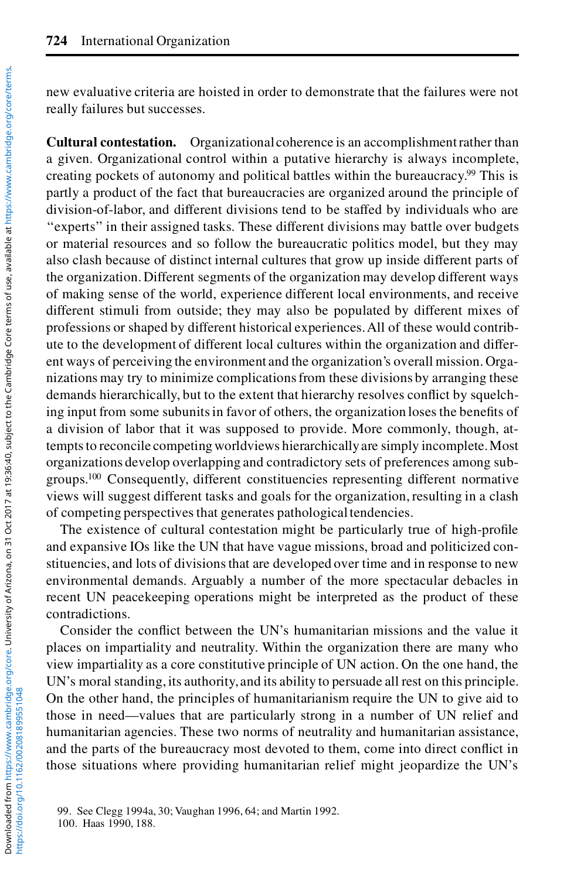new evaluative criteria are hoisted in order to demonstrate that the failures were not really failures but successes.

**Cultural contestation.** Organizationalcoherence is an accomplishmentrather than a given. Organizational control within a putative hierarchy is always incomplete, creating pockets of autonomy and political battles within the bureaucracy.<sup>99</sup> This is partly a product of the fact that bureaucracies are organized around the principle of division-of-labor, and different divisions tend to be staffed by individuals who are "experts" in their assigned tasks. These different divisions may battle over budgets or material resources and so follow the bureaucratic politics model, but they may also clash because of distinct internal cultures that grow up inside different parts of the organization.Different segments of the organization may develop different ways of making sense of the world, experience different local environments, and receive different stimuli from outside; they may also be populated by different mixes of professions or shaped by different historical experiences.All of these would contribute to the development of different local cultures within the organization and different ways of perceiving the environment and the organization's overall mission. Organizations may try to minimize complicationsfrom these divisions by arranging these demands hierarchically, but to the extent that hierarchy resolves conflict by squelching input from some subunits in favor of others, the organization loses the benefits of a division of labor that it was supposed to provide. More commonly, though, attempts to reconcile competing worldviews hierarchically are simply incomplete. Most organizations develop overlapping and contradictory sets of preferences among subgroups.<sup>100</sup> Consequently, different constituencies representing different normative views will suggest different tasks and goals for the organization, resulting in a clash of competing perspectives that generates pathological tendencies.

The existence of cultural contestation might be particularly true of high-profile and expansive IOs like the UN that have vague missions, broad and politicized constituencies, and lots of divisionsthat are developed over time and in response to new environmental demands. Arguably a number of the more spectacular debacles in recent UN peacekeeping operations might be interpreted as the product of these contradictions.

Consider the conflict between the UN's humanitarian missions and the value it places on impartiality and neutrality. Within the organization there are many who view impartiality as a core constitutive principle of UN action. On the one hand, the UN's moral standing, its authority, and its ability to persuade all rest on this principle. On the other hand, the principles of humanitarianism require the UN to give aid to those in need—values that are particularly strong in a number of UN relief and humanitarian agencies. These two norms of neutrality and humanitarian assistance, and the parts of the bureaucracy most devoted to them, come into direct conflict in those situations where providing humanitarian relief might jeopardize the UN's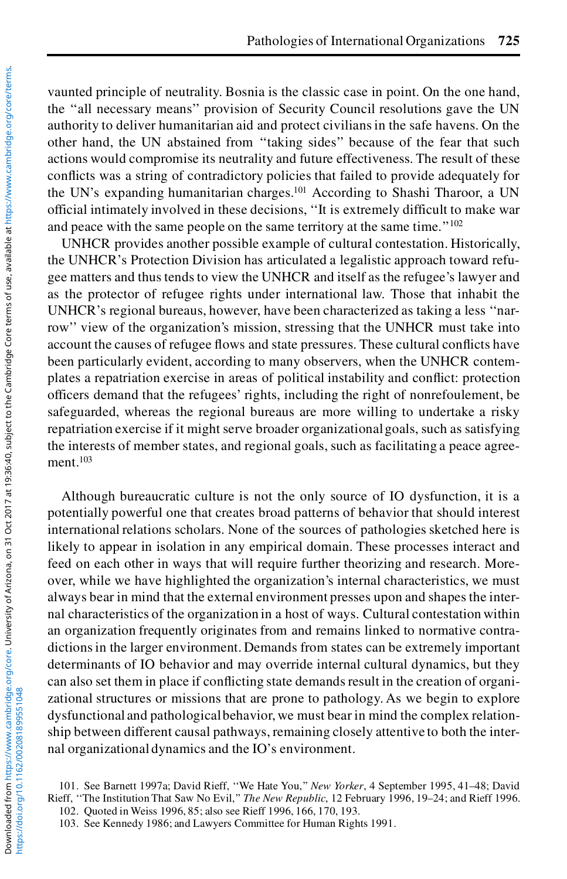vaunted principle of neutrality. Bosnia is the classic case in point. On the one hand, the ''all necessary means'' provision of Security Council resolutions gave the UN authority to deliver humanitarian aid and protect civiliansin the safe havens. On the other hand, the UN abstained from ''taking sides'' because of the fear that such actions would compromise its neutrality and future effectiveness. The result of these conflicts was a string of contradictory policies that failed to provide adequately for the UN's expanding humanitarian charges.<sup>101</sup> According to Shashi Tharoor, a UN official intimately involved in these decisions, ''It is extremely difficult to make war and peace with the same people on the same territory at the same time.'' 102

UNHCR provides another possible example of cultural contestation. Historically, the UNHCR's Protection Division has articulated a legalistic approach toward refugee matters and thus tends to view the UNHCR and itself as the refugee's lawyer and as the protector of refugee rights under international law. Those that inhabit the UNHCR's regional bureaus, however, have been characterized as taking a less ''narrow" view of the organization's mission, stressing that the UNHCR must take into account the causes of refugee flows and state pressures. These cultural conflicts have been particularly evident, according to many observers, when the UNHCR contemplates a repatriation exercise in areas of political instability and conflict: protection officers demand that the refugees' rights, including the right of nonrefoulement, be safeguarded, whereas the regional bureaus are more willing to undertake a risky repatriation exercise if it might serve broader organizationalgoals, such as satisfying the interests of member states, and regional goals, such as facilitating a peace agreement.<sup>103</sup>

Although bureaucratic culture is not the only source of IO dysfunction, it is a potentially powerful one that creates broad patterns of behavior that should interest international relations scholars. None of the sources of pathologies sketched here is likely to appear in isolation in any empirical domain. These processes interact and feed on each other in ways that will require further theorizing and research. Moreover, while we have highlighted the organization's internal characteristics, we must always bear in mind that the external environment presses upon and shapes the internal characteristics of the organization in a host of ways. Cultural contestation within an organization frequently originates from and remains linked to normative contradictions in the larger environment. Demands from states can be extremely important determinants of IO behavior and may override internal cultural dynamics, but they can also set them in place if conflicting state demands result in the creation of organizational structures or missions that are prone to pathology. As we begin to explore dysfunctional and pathologicalbehavior, we must bear in mind the complex relationship between different causal pathways, remaining closely attentive to both the internal organizational dynamics and the IO's environment.

- 101. See Barnett 1997a; David Rieff, ''We Hate You,'' *New Yorker*, 4 September 1995, 41–48; David
- Rieff, ''The Institution That Saw No Evil,'' *The New Republic*, 12 February 1996, 19–24; and Rieff 1996.

<sup>102.</sup> Quoted in Weiss 1996, 85; also see Rieff 1996, 166, 170, 193.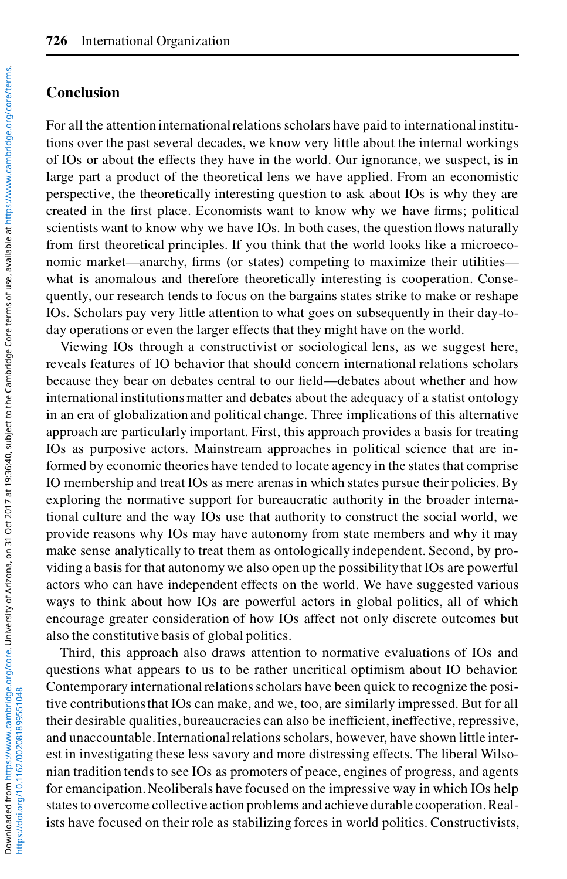## **Conclusion**

For all the attention international relations scholars have paid to international institutions over the past several decades, we know very little about the internal workings of IOs or about the effects they have in the world. Our ignorance, we suspect, is in large part a product of the theoretical lens we have applied. From an economistic perspective, the theoretically interesting question to ask about IOs is why they are created in the first place. Economists want to know why we have firms; political scientists want to know why we have IOs. In both cases, the question flows naturally from first theoretical principles. If you think that the world looks like a microeconomic market—anarchy, firms (or states) competing to maximize their utilities what is anomalous and therefore theoretically interesting is cooperation. Consequently, our research tends to focus on the bargains states strike to make or reshape IOs. Scholars pay very little attention to what goes on subsequently in their day-today operations or even the larger effects that they might have on the world.

Viewing IOs through a constructivist or sociological lens, as we suggest here, reveals features of IO behavior that should concern international relations scholars because they bear on debates central to our field—debates about whether and how international institutions matter and debates about the adequacy of a statist ontology in an era of globalization and political change. Three implications of this alternative approach are particularly important. First, this approach provides a basis for treating IOs as purposive actors. Mainstream approaches in political science that are informed by economic theories have tended to locate agency in the states that comprise IO membership and treat IOs as mere arenas in which states pursue their policies. By exploring the normative support for bureaucratic authority in the broader international culture and the way IOs use that authority to construct the social world, we provide reasons why IOs may have autonomy from state members and why it may make sense analytically to treat them as ontologically independent. Second, by providing a basis for that autonomy we also open up the possibility that IOs are powerful actors who can have independent effects on the world. We have suggested various ways to think about how IOs are powerful actors in global politics, all of which encourage greater consideration of how IOs affect not only discrete outcomes but also the constitutive basis of global politics.

Third, this approach also draws attention to normative evaluations of IOs and questions what appears to us to be rather uncritical optimism about IO behavior. Contemporary international relations scholars have been quick to recognize the positive contributionsthat IOs can make, and we, too, are similarly impressed. But for all their desirable qualities, bureaucracies can also be inefficient, ineffective, repressive, and unaccountable.Internationalrelationsscholars, however, have shown little interest in investigating these less savory and more distressing effects. The liberal Wilsonian tradition tendsto see IOs as promoters of peace, engines of progress, and agents for emancipation.Neoliberals have focused on the impressive way in which IOs help states to overcome collective action problems and achieve durable cooperation. Realists have focused on their role as stabilizing forces in world politics. Constructivists,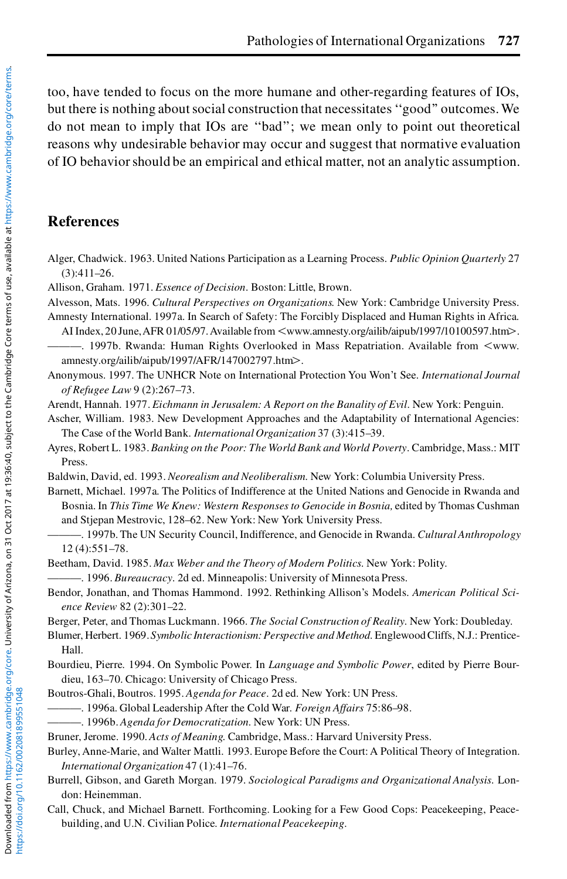too, have tended to focus on the more humane and other-regarding features of IOs, but there is nothing about social construction that necessitates "good" outcomes. We do not mean to imply that IOs are ''bad''; we mean only to point out theoretical reasons why undesirable behavior may occur and suggest that normative evaluation of IO behaviorshould be an empirical and ethical matter, not an analytic assumption.

## **References**

Alger, Chadwick. 1963. United Nations Participation as a Learning Process. *Public Opinion Quarterly* 27  $(3):411-26$ 

Allison, Graham. 1971. *Essence of Decision*. Boston: Little, Brown.

Alvesson, Mats. 1996. *Cultural Perspectives on Organizations*. New York: Cambridge University Press. Amnesty International. 1997a. In Search of Safety: The Forcibly Displaced and Human Rights in Africa.

AI Index, 20 June, AFR 01/05/97. Available from <www.amnesty.org/ailib/aipub/1997/10100597.htm>. -. 1997b. Rwanda: Human Rights Overlooked in Mass Repatriation. Available from  $\lt$ www.

amnesty.org/ailib/aipub/1997/AFR/147002797.htm>.

Anonymous. 1997. The UNHCR Note on International Protection You Won't See. *International Journal of Refugee Law* 9 (2):267–73.

Arendt, Hannah. 1977. *Eichmann in Jerusalem: A Report on the Banality of Evil*. New York: Penguin.

Ascher, William. 1983. New Development Approaches and the Adaptability of International Agencies: The Case of the World Bank. *International Organization* 37 (3):415–39.

Ayres, Robert L. 1983.*Banking on the Poor: The World Bank and World Poverty*. Cambridge, Mass.: MIT Press.

Baldwin, David, ed. 1993. *Neorealism and Neoliberalism*. New York: Columbia University Press.

Barnett, Michael. 1997a. The Politics of Indifference at the United Nations and Genocide in Rwanda and Bosnia. In *This Time We Knew: Western Responses to Genocide in Bosnia,* edited by Thomas Cushman and Stjepan Mestrovic, 128–62. New York: New York University Press.

———. 1996. *Bureaucracy*. 2d ed. Minneapolis: University of Minnesota Press.

Bendor, Jonathan, and Thomas Hammond. 1992. Rethinking Allison's Models. *American Political Sci ence Review* 82 (2):301–22.

Berger, Peter, and Thomas Luckmann. 1966. *The Social Construction of Reality*. New York: Doubleday.

Blumer, Herbert. 1969.*Symbolic Interactionism:Perspective and Method*. EnglewoodCliffs, N.J.: Prentice-Hall.

- Bourdieu, Pierre. 1994. On Symbolic Power. In *Language and Symbolic Power*, edited by Pierre Bourdieu, 163–70. Chicago: University of Chicago Press.
- Boutros-Ghali, Boutros. 1995. *Agenda for Peace*. 2d ed. New York: UN Press.
	- ———. 1996a. Global Leadership After the Cold War. *Foreign Affairs* 75:86–98.
		- ———. 1996b. *Agenda for Democratization*. New York: UN Press.

Bruner, Jerome. 1990. *Acts of Meaning*. Cambridge, Mass.: Harvard University Press.

Burley, Anne-Marie, and Walter Mattli. 1993. Europe Before the Court: A Political Theory of Integration. *International Organization* 47 (1):41–76.

- Burrell, Gibson, and Gareth Morgan. 1979. *Sociological Paradigms and Organizational Analysis*. London: Heinemman.
- Call, Chuck, and Michael Barnett. Forthcoming. Looking for a Few Good Cops: Peacekeeping, Peacebuilding, and U.N. Civilian Police. *International Peacekeeping*.

<sup>———.</sup> 1997b. The UN Security Council, Indifference, and Genocide in Rwanda. *Cultural Anthropology* 12 (4):551–78.

Beetham, David. 1985. *Max Weber and the Theory of Modern Politics*. New York: Polity.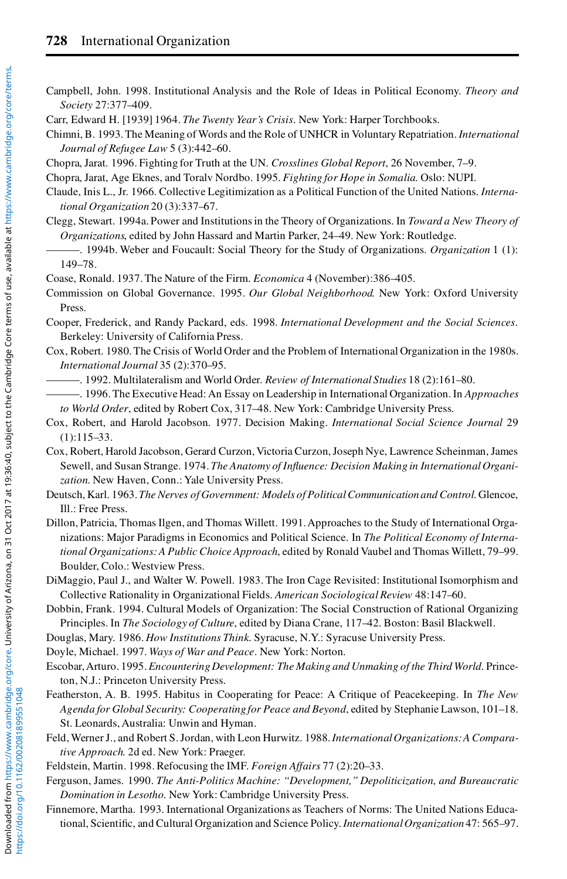Campbell, John. 1998. Institutional Analysis and the Role of Ideas in Political Economy. *Theory and Society* 27:377–409.

Carr, Edward H. [1939] 1964. *The Twenty Year's Crisis*. New York: Harper Torchbooks.

- Chimni, B. 1993.The Meaning of Words and the Role of UNHCR in Voluntary Repatriation. *International Journal of Refugee Law* 5 (3):442–60.
- Chopra, Jarat. 1996. Fighting for Truth at the UN. *Crosslines Global Report*, 26 November, 7–9.
- Chopra, Jarat, Age Eknes, and Toralv Nordbo. 1995. *Fighting for Hope in Somalia*. Oslo: NUPI.
- Claude, Inis L., Jr. 1966. Collective Legitimization as a Political Function of the United Nations. *International Organization* 20 (3):337–67.
- Clegg, Stewart. 1994a. Power and Institutionsin the Theory of Organizations. In *Toward a New Theory of Organizations*, edited by John Hassard and Martin Parker, 24–49. New York: Routledge.
	- ———. 1994b. Weber and Foucault: Social Theory for the Study of Organizations. *Organization* 1 (1): 149–78.
- Coase, Ronald. 1937.The Nature of the Firm. *Economica* 4 (November):386–405.
- Commission on Global Governance. 1995. *Our Global Neighborhood*. New York: Oxford University **Press**.
- Cooper, Frederick, and Randy Packard, eds. 1998. *International Development and the Social Sciences*. Berkeley: University of California Press.
- Cox, Robert. 1980.The Crisis of World Order and the Problem of International Organization in the 1980s. *International Journal* 35 (2):370–95.
	- ———. 1992. Multilateralism and World Order. *Review of International Studies* 18 (2):161–80.
	- ———. 1996.The Executive Head: An Essay on Leadership in International Organization.In *Approaches to World Order*, edited by Robert Cox, 317–48. New York: Cambridge University Press.
- Cox, Robert, and Harold Jacobson. 1977. Decision Making. *International Social Science Journal* 29 (1):115–33.
- Cox, Robert, Harold Jacobson, Gerard Curzon,Victoria Curzon,Joseph Nye, Lawrence Scheinman,James Sewell, and Susan Strange. 1974. *The Anatomy of In uence: Decision Making in International Organization.* New Haven, Conn.: Yale University Press.
- Deutsch, Karl. 1963.*The Nerves of Government: Models of PoliticalCommunication and Control*. Glencoe, Ill.: Free Press.
- Dillon, Patricia, Thomas Ilgen, and Thomas Willett. 1991. Approaches to the Study of International Organizations: Major Paradigms in Economics and Political Science. In *The Political Economy of International Organizations:A Public Choice Approach*, edited by Ronald Vaubel and Thomas Willett, 79–99. Boulder, Colo.: Westview Press.
- DiMaggio, Paul J., and Walter W. Powell. 1983. The Iron Cage Revisited: Institutional Isomorphism and Collective Rationality in Organizational Fields. *American SociologicalReview* 48:147–60.
- Dobbin, Frank. 1994. Cultural Models of Organization: The Social Construction of Rational Organizing Principles. In *The Sociology of Culture*, edited by Diana Crane, 117–42. Boston: Basil Blackwell.
- Douglas, Mary. 1986. *How Institutions Think*. Syracuse, N.Y.: Syracuse University Press.
- Doyle, Michael. 1997. *Ways of War and Peace*. New York: Norton.
- Escobar,Arturo. 1995.*EncounteringDevelopment: The Making and Unmaking of the Third World*. Princeton, N.J.: Princeton University Press.
- Featherston, A. B. 1995. Habitus in Cooperating for Peace: A Critique of Peacekeeping. In *The New Agenda for Global Security: Cooperating for Peace and Beyond*, edited by Stephanie Lawson, 101–18. St. Leonards, Australia: Unwin and Hyman.
- Feld,WernerJ., and Robert S.Jordan, with Leon Hurwitz. 1988.*InternationalOrganizations:A Comparative Approach*. 2d ed. New York: Praeger.
- Feldstein, Martin. 1998. Refocusing the IMF. *Foreign Affairs* 77 (2):20–33.
- Ferguson, James. 1990. *The Anti-Politics Machine: ''Development,'' Depoliticization, and Bureaucratic Domination in Lesotho*. New York: Cambridge University Press.
- Finnemore, Martha. 1993. International Organizations as Teachers of Norms: The United Nations Educational, Scientific, and Cultural Organization and Science Policy. *International Organization* 47: 565-97.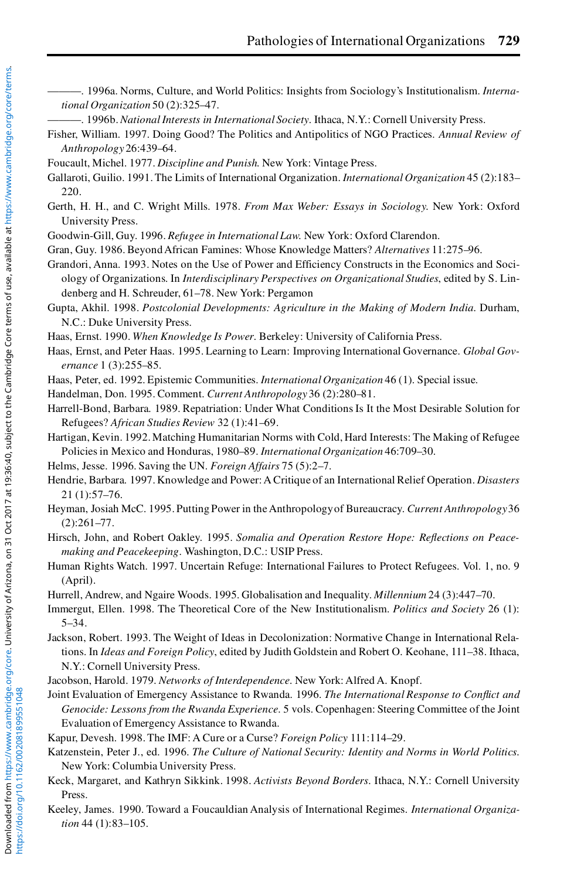- ———. 1996a. Norms, Culture, and World Politics: Insights from Sociology's Institutionalism. *International Organization* 50 (2):325–47.
- ———. 1996b.*National Interests in International Society*. Ithaca, N.Y.: Cornell University Press.
- Fisher, William. 1997. Doing Good? The Politics and Antipolitics of NGO Practices. *Annual Review of Anthropology* 26:439–64.

Foucault, Michel. 1977. *Discipline and Punish*. New York: Vintage Press.

- Gallaroti, Guilio. 1991.The Limits of International Organization. *International Organization* 45 (2):183– 220.
- Gerth, H. H., and C. Wright Mills. 1978. *From Max Weber: Essays in Sociology*. New York: Oxford University Press.

Goodwin-Gill, Guy. 1996. *Refugee in International Law.* New York: Oxford Clarendon.

Gran, Guy. 1986. BeyondAfrican Famines: Whose Knowledge Matters? *Alternatives* 11:275–96.

- Grandori, Anna. 1993. Notes on the Use of Power and Efficiency Constructs in the Economics and Sociology of Organizations. In *Interdisciplinary Perspectives on Organizational Studies*, edited by S. Lindenberg and H. Schreuder, 61–78. New York: Pergamon
- Gupta, Akhil. 1998. *Postcolonial Developments: Agriculture in the Making of Modern India*. Durham, N.C.: Duke University Press.

Haas, Ernst. 1990. *When Knowledge Is Power*. Berkeley: University of California Press.

Haas, Ernst, and Peter Haas. 1995. Learning to Learn: Improving International Governance. *Global Gov ernance* 1 (3):255–85.

Haas, Peter, ed. 1992. Epistemic Communities. *International Organization* 46 (1). Special issue.

Handelman, Don. 1995. Comment. *Current Anthropology* 36 (2):280–81.

Harrell-Bond, Barbara. 1989. Repatriation: Under What ConditionsIs It the Most Desirable Solution for Refugees? *African Studies Review* 32 (1):41–69.

Hartigan, Kevin. 1992.Matching Humanitarian Norms with Cold, Hard Interests: The Making of Refugee Policies in Mexico and Honduras, 1980–89. *International Organization* 46:709–30.

- Helms, Jesse. 1996. Saving the UN. *Foreign Affairs* 75 (5):2–7.
- Hendrie, Barbara. 1997. Knowledge and Power:A Critique of an InternationalRelief Operation. *Disasters* 21 (1):57–76.
- Heyman, Josiah McC. 1995. Putting Power in theAnthropologyof Bureaucracy. *Current Anthropology*36 (2):261–77.
- Hirsch, John, and Robert Oakley. 1995. *Somalia and Operation Restore Hope: Re ections on Peacemaking and Peacekeeping*. Washington, D.C.: USIP Press.
- Human Rights Watch. 1997. Uncertain Refuge: International Failures to Protect Refugees. Vol. 1, no. 9 (April).

Hurrell, Andrew, and Ngaire Woods. 1995. Globalisation and Inequality. *Millennium* 24 (3):447–70.

- Immergut, Ellen. 1998. The Theoretical Core of the New Institutionalism. *Politics and Society* 26 (1): 5–34.
- Jackson, Robert. 1993. The Weight of Ideas in Decolonization: Normative Change in International Relations. In *Ideas and Foreign Policy*, edited by Judith Goldstein and Robert O. Keohane, 111–38. Ithaca, N.Y.: Cornell University Press.
- Jacobson, Harold. 1979. *Networks of Interdependence*. New York: Alfred A. Knopf.
- Joint Evaluation of Emergency Assistance to Rwanda. 1996. *The International Response to Conict and Genocide: Lessons from the Rwanda Experience*. 5 vols. Copenhagen: Steering Committee of the Joint Evaluation of Emergency Assistance to Rwanda.
- Kapur, Devesh. 1998.The IMF: A Cure or a Curse? *Foreign Policy* 111:114–29.
- Katzenstein, Peter J., ed. 1996. *The Culture of National Security: Identity and Norms in World Politics*. New York: Columbia University Press.
- Keck, Margaret, and Kathryn Sikkink. 1998. *Activists Beyond Borders*. Ithaca, N.Y.: Cornell University Press.
- Keeley, James. 1990. Toward a Foucauldian Analysis of International Regimes. *International Organization* 44 (1):83–105.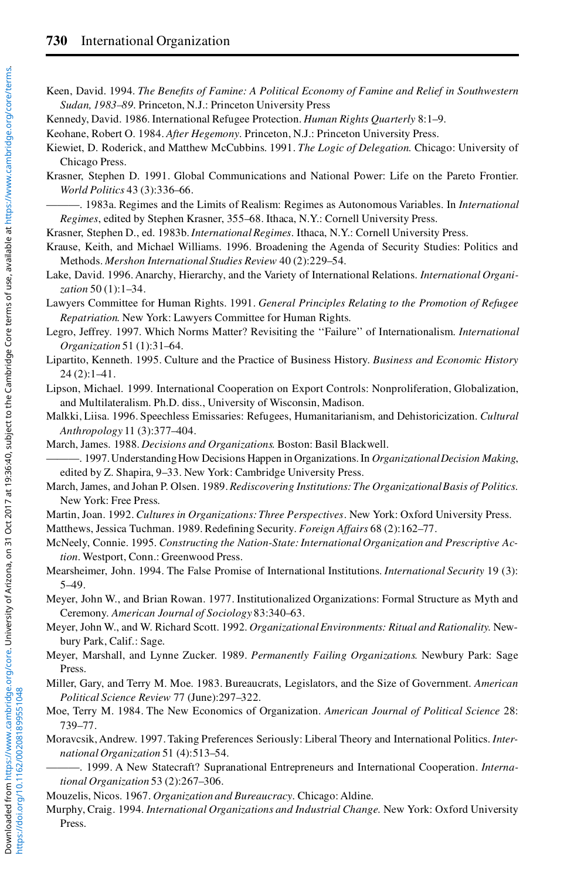- Keen, David. 1994. *The Benets of Famine: A Political Economy of Famine and Relief in Southwestern Sudan, 1983–89*. Princeton, N.J.: Princeton University Press
- Kennedy, David. 1986. International Refugee Protection. *Human Rights Quarterly* 8:1–9.
- Keohane, Robert O. 1984. *After Hegemony*. Princeton, N.J.: Princeton University Press.
- Kiewiet, D. Roderick, and Matthew McCubbins. 1991. *The Logic of Delegation*. Chicago: University of Chicago Press.
- Krasner, Stephen D. 1991. Global Communications and National Power: Life on the Pareto Frontier. *World Politics* 43 (3):336–66.

———. 1983a. Regimes and the Limits of Realism: Regimes as Autonomous Variables. In *International Regimes*, edited by Stephen Krasner, 355–68. Ithaca, N.Y.: Cornell University Press.

Krasner, Stephen D., ed. 1983b.*InternationalRegimes*. Ithaca, N.Y.: Cornell University Press.

- Krause, Keith, and Michael Williams. 1996. Broadening the Agenda of Security Studies: Politics and Methods. *Mershon International Studies Review* 40 (2):229–54.
- Lake, David. 1996. Anarchy, Hierarchy, and the Variety of International Relations. *International Organization* 50 (1):1–34.
- Lawyers Committee for Human Rights. 1991. *General Principles Relating to the Promotion of Refugee Repatriation*. New York: Lawyers Committee for Human Rights.
- Legro, Jeffrey. 1997. Which Norms Matter? Revisiting the ''Failure'' of Internationalism. *International Organization* 51 (1):31–64.
- Lipartito, Kenneth. 1995. Culture and the Practice of Business History. *Business and Economic History* 24 (2):1–41.
- Lipson, Michael. 1999. International Cooperation on Export Controls: Nonproliferation, Globalization, and Multilateralism. Ph.D. diss., University of Wisconsin, Madison.
- Malkki, Liisa. 1996. Speechless Emissaries: Refugees, Humanitarianism, and Dehistoricization. *Cultural Anthropology* 11 (3):377–404.
- March, James. 1988. *Decisions and Organizations*. Boston: Basil Blackwell.
- ———. 1997.UnderstandingHow Decisions Happen in Organizations.In *OrganizationalDecision Making*, edited by Z. Shapira, 9–33. New York: Cambridge University Press.
- March, James, and Johan P. Olsen. 1989.*Rediscovering Institutions:The OrganizationalBasis of Politics*. New York: Free Press.
- Martin, Joan. 1992. *Cultures in Organizations:Three Perspectives*. New York: Oxford University Press. Matthews, Jessica Tuchman. 1989. Redefining Security. *Foreign Affairs* 68 (2):162-77.
- McNeely, Connie. 1995. *Constructing the Nation-State:International Organization and Prescriptive Action*. Westport, Conn.: Greenwood Press.
- Mearsheimer, John. 1994. The False Promise of International Institutions. *International Security* 19 (3): 5–49.
- Meyer, John W., and Brian Rowan. 1977. Institutionalized Organizations: Formal Structure as Myth and Ceremony. *American Journal of Sociology* 83:340–63.
- Meyer, John W., and W. Richard Scott. 1992. *OrganizationalEnvironments: Ritual and Rationality*. Newbury Park, Calif.: Sage.
- Meyer, Marshall, and Lynne Zucker. 1989. *Permanently Failing Organizations*. Newbury Park: Sage Press.
- Miller, Gary, and Terry M. Moe. 1983. Bureaucrats, Legislators, and the Size of Government. *American Political Science Review* 77 (June):297–322.
- Moe, Terry M. 1984. The New Economics of Organization. *American Journal of Political Science* 28: 739–77.
- Moravcsik,Andrew. 1997.Taking Preferences Seriously: Liberal Theory and International Politics. *International Organization* 51 (4):513–54.
	- ———. 1999. A New Statecraft? Supranational Entrepreneurs and International Cooperation. *International Organization* 53 (2):267–306.
- Mouzelis, Nicos. 1967. *Organization and Bureaucracy*. Chicago: Aldine.
- Murphy, Craig. 1994. *International Organizations and Industrial Change*. New York: Oxford University Press.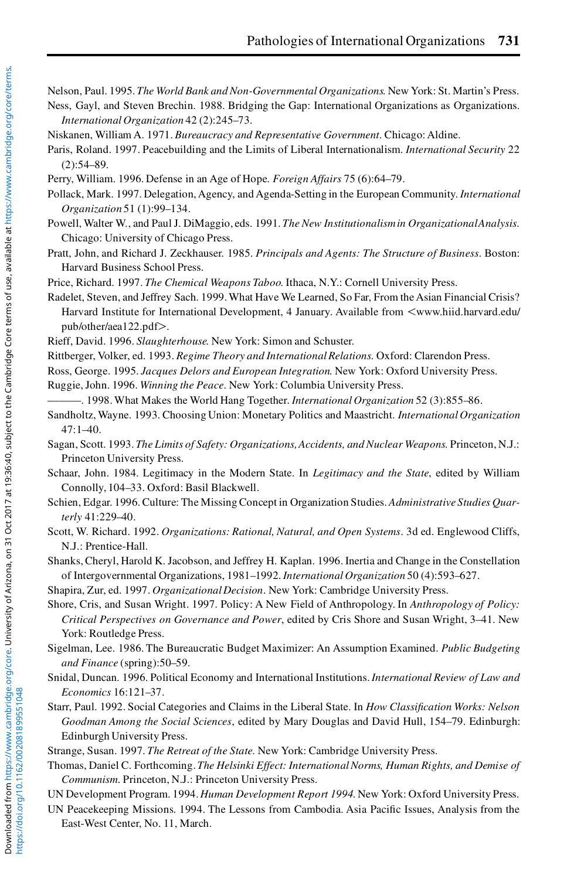Nelson, Paul. 1995. *The World Bank and Non-Governmental Organizations*. New York: St. Martin's Press. Ness, Gayl, and Steven Brechin. 1988. Bridging the Gap: International Organizations as Organizations. *International Organization* 42 (2):245–73.

Niskanen, William A. 1971. *Bureaucracy and Representative Government*. Chicago: Aldine.

- Paris, Roland. 1997. Peacebuilding and the Limits of Liberal Internationalism. *International Security* 22 (2):54–89.
- Perry, William. 1996. Defense in an Age of Hope. *Foreign Affairs* 75 (6):64–79.
- Pollack, Mark. 1997. Delegation, Agency, and Agenda-Setting in the European Community. *International Organization* 51 (1):99–134.
- Powell, Walter W., and PaulJ. DiMaggio, eds. 1991. *The New Institutionalismin OrganizationalAnalysis*. Chicago: University of Chicago Press.
- Pratt, John, and Richard J. Zeckhauser. 1985. *Principals and Agents: The Structure of Business*. Boston: Harvard Business School Press.
- Price, Richard. 1997. *The Chemical Weapons Taboo*. Ithaca, N.Y.: Cornell University Press.
- Radelet, Steven, and Jeffrey Sach. 1999. What Have We Learned, So Far, From the Asian Financial Crisis? Harvard Institute for International Development, 4 January. Available from <www.hiid.harvard.edu/ pub/other/aea122.pdf>.
- Rieff, David. 1996. *Slaughterhouse*. New York: Simon and Schuster.
- Rittberger, Volker, ed. 1993. *Regime Theory and InternationalRelations*. Oxford: Clarendon Press.
- Ross, George. 1995. *Jacques Delors and European Integration*. New York: Oxford University Press.
- Ruggie, John. 1996. *Winning the Peace*. New York: Columbia University Press.
- ———. 1998.What Makes the World Hang Together. *International Organization* 52 (3):855–86.
- Sandholtz, Wayne. 1993. Choosing Union: Monetary Politics and Maastricht. *International Organization* 47:1–40.
- Sagan, Scott. 1993. *The Limits of Safety: Organizations,Accidents, and Nuclear Weapons*. Princeton, N.J.: Princeton University Press.
- Schaar, John. 1984. Legitimacy in the Modern State. In *Legitimacy and the State*, edited by William Connolly, 104–33. Oxford: Basil Blackwell.
- Schien, Edgar. 1996. Culture: The Missing Concept in Organization Studies. *Administrative Studies Quarterly* 41:229–40.
- Scott, W. Richard. 1992. *Organizations: Rational, Natural, and Open Systems*. 3d ed. Englewood Cliffs, N.J.: Prentice-Hall.

Shanks,Cheryl, Harold K. Jacobson, and Jeffrey H. Kaplan. 1996. Inertia and Change in the Constellation of Intergovernmental Organizations, 1981–1992. *International Organization* 50 (4):593–627.

Shapira, Zur, ed. 1997. *OrganizationalDecision*. New York: Cambridge University Press.

- Shore, Cris, and Susan Wright. 1997. Policy: A New Field of Anthropology. In *Anthropology of Policy: Critical Perspectives on Governance and Power*, edited by Cris Shore and Susan Wright, 3–41. New York: Routledge Press.
- Sigelman, Lee. 1986. The Bureaucratic Budget Maximizer: An Assumption Examined. *Public Budgeting and Finance* (spring):50–59.
- Snidal, Duncan. 1996. Political Economy and International Institutions.*International Review of Law and Economics* 16:121–37.
- Starr, Paul. 1992. Social Categories and Claims in the Liberal State. In *How Classi cation Works: Nelson Goodman Among the Social Sciences*, edited by Mary Douglas and David Hull, 154–79. Edinburgh: Edinburgh University Press.

- Thomas, Daniel C. Forthcoming.*The Helsinki Effect: InternationalNorms, Human Rights, and Demise of Communism*. Princeton, N.J.: Princeton University Press.
- UN Development Program. 1994. *Human Development Report 1994*. New York: Oxford University Press.
- UN Peacekeeping Missions. 1994. The Lessons from Cambodia. Asia Pacific Issues, Analysis from the East-West Center, No. 11, March.

Strange, Susan. 1997. *The Retreat of the State*. New York: Cambridge University Press.